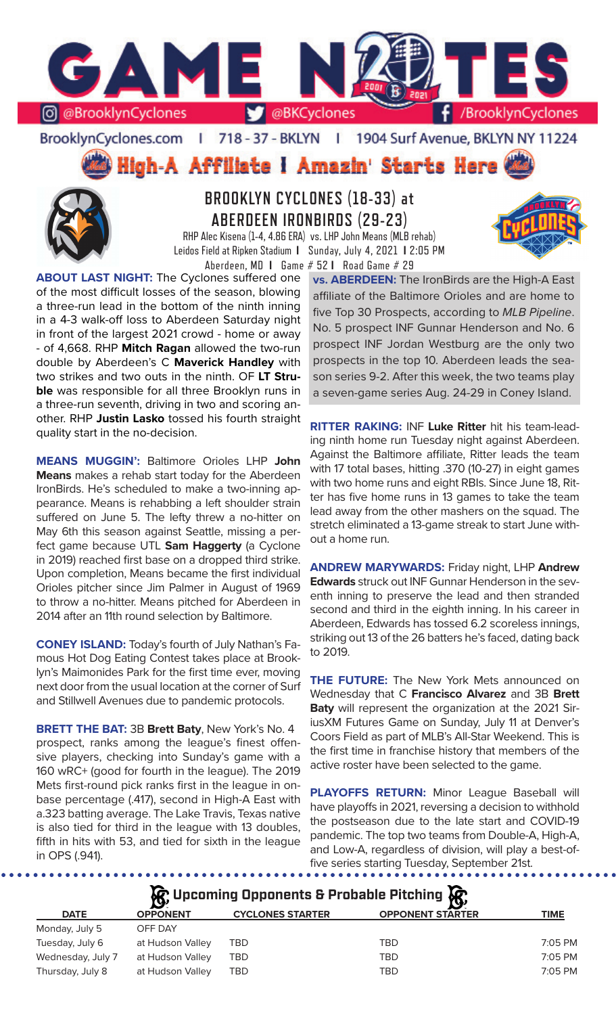

### BrooklynCyclones.com | 718 - 37 - BKLYN | 1904 Surf Avenue, BKLYN NY 11224

**High-A Affiliate I Amazin' Starts Here** 



**BROOKLYN CYCLONES (18-33) at ABERDEEN IRONBIRDS (29-23)**

RHP Alec Kisena (1-4, 4.86 ERA) vs. LHP John Means (MLB rehab) Leidos Field at Ripken Stadium **I** Sunday, July 4, 2021 **I** 2:05 PM Aberdeen, MD **I** Game # 52 **I** Road Game # 29

**ABOUT LAST NIGHT:** The Cyclones suffered one of the most difficult losses of the season, blowing a three-run lead in the bottom of the ninth inning in a 4-3 walk-off loss to Aberdeen Saturday night in front of the largest 2021 crowd - home or away - of 4,668. RHP **Mitch Ragan** allowed the two-run double by Aberdeen's C **Maverick Handley** with two strikes and two outs in the ninth. OF **LT Struble** was responsible for all three Brooklyn runs in a three-run seventh, driving in two and scoring another. RHP **Justin Lasko** tossed his fourth straight quality start in the no-decision.

**MEANS MUGGIN':** Baltimore Orioles LHP **John Means** makes a rehab start today for the Aberdeen IronBirds. He's scheduled to make a two-inning appearance. Means is rehabbing a left shoulder strain suffered on June 5. The lefty threw a no-hitter on May 6th this season against Seattle, missing a perfect game because UTL **Sam Haggerty** (a Cyclone in 2019) reached first base on a dropped third strike. Upon completion, Means became the first individual Orioles pitcher since Jim Palmer in August of 1969 to throw a no-hitter. Means pitched for Aberdeen in 2014 after an 11th round selection by Baltimore.

**CONEY ISLAND:** Today's fourth of July Nathan's Famous Hot Dog Eating Contest takes place at Brooklyn's Maimonides Park for the first time ever, moving next door from the usual location at the corner of Surf and Stillwell Avenues due to pandemic protocols.

**BRETT THE BAT:** 3B **Brett Baty**, New York's No. 4 prospect, ranks among the league's finest offensive players, checking into Sunday's game with a 160 wRC+ (good for fourth in the league). The 2019 Mets first-round pick ranks first in the league in onbase percentage (.417), second in High-A East with a.323 batting average. The Lake Travis, Texas native is also tied for third in the league with 13 doubles, fifth in hits with 53, and tied for sixth in the league in OPS (.941).

**vs. ABERDEEN:** The IronBirds are the High-A East affiliate of the Baltimore Orioles and are home to five Top 30 Prospects, according to *MLB Pipeline*. No. 5 prospect INF Gunnar Henderson and No. 6 prospect INF Jordan Westburg are the only two prospects in the top 10. Aberdeen leads the season series 9-2. After this week, the two teams play a seven-game series Aug. 24-29 in Coney Island.

**RITTER RAKING:** INF **Luke Ritter** hit his team-leading ninth home run Tuesday night against Aberdeen. Against the Baltimore affiliate, Ritter leads the team with 17 total bases, hitting .370 (10-27) in eight games with two home runs and eight RBIs. Since June 18, Ritter has five home runs in 13 games to take the team lead away from the other mashers on the squad. The stretch eliminated a 13-game streak to start June without a home run.

**ANDREW MARYWARDS:** Friday night, LHP **Andrew Edwards** struck out INF Gunnar Henderson in the seventh inning to preserve the lead and then stranded second and third in the eighth inning. In his career in Aberdeen, Edwards has tossed 6.2 scoreless innings, striking out 13 of the 26 batters he's faced, dating back to 2019.

**THE FUTURE:** The New York Mets announced on Wednesday that C **Francisco Alvarez** and 3B **Brett Baty** will represent the organization at the 2021 SiriusXM Futures Game on Sunday, July 11 at Denver's Coors Field as part of MLB's All-Star Weekend. This is the first time in franchise history that members of the active roster have been selected to the game.

**PLAYOFFS RETURN:** Minor League Baseball will have playoffs in 2021, reversing a decision to withhold the postseason due to the late start and COVID-19 pandemic. The top two teams from Double-A, High-A, and Low-A, regardless of division, will play a best-offive series starting Tuesday, September 21st.

**松** Upcoming Opponents & Probable Pitching **依** 

| <b>DATE</b>       | <b>OPPONENT</b>  | <b>CYCLONES STARTER</b> | <b>OPPONENT STARTER</b> | <b>TIME</b> |
|-------------------|------------------|-------------------------|-------------------------|-------------|
| Monday, July 5    | OFF DAY          |                         |                         |             |
| Tuesday, July 6   | at Hudson Valley | TBD                     | <b>TBD</b>              | $7:05$ PM   |
| Wednesday, July 7 | at Hudson Valley | TBD                     | <b>TBD</b>              | $7:05$ PM   |
| Thursday, July 8  | at Hudson Valley | TBD                     | <b>TBD</b>              | $7:05$ PM   |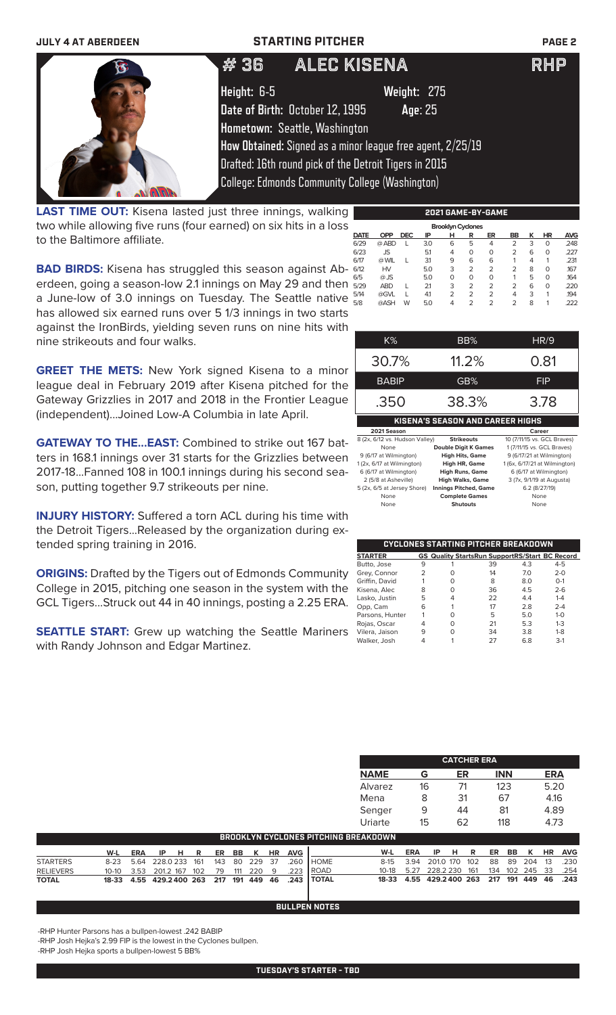# **JULY 4 AT ABERDEEN STARTING PITCHER PAGE 2**



# 36 ALEC KISENA RHP **Height:** 6-5 **Weight:** 275

**Date of Birth:** October 12, 1995 **Age**: 25 **Hometown:** Seattle, Washington

**How Obtained:** Signed as a minor league free agent, 2/25/19

Drafted: 16th round pick of the Detroit Tigers in 2015

College: Edmonds Community College (Washington)

**LAST TIME OUT:** Kisena lasted just three innings, walking two while allowing five runs (four earned) on six hits in a loss to the Baltimore affiliate.

|                          |            |            | --- | . | . .<br>        | .  |           |   |    |      |
|--------------------------|------------|------------|-----|---|----------------|----|-----------|---|----|------|
| <b>Brooklyn Cyclones</b> |            |            |     |   |                |    |           |   |    |      |
| <b>DATE</b>              | <b>OPP</b> | <b>DEC</b> | ΙP  | н | R              | ER | <b>BB</b> | ĸ | ΗR | AVG  |
| 6/29                     | @ ABD      |            | 3.0 | 6 | 5              | 4  | 2         | 3 | 0  | .248 |
| 6/23                     | JS         |            | 5.1 | 4 | 0              | O  | 2         | 6 | 0  | .227 |
| 6/17                     | @ WIL      |            | 3.1 | 9 | 6              | 6  | 1         | 4 | 1  | .231 |
| 6/12                     | HV         |            | 5.0 | 3 | $\overline{2}$ | 2  | 2         | 8 | 0  | .167 |
| 6/5                      | @ JS       |            | 5.0 | O | 0              | O  | 1         | 5 | 0  | .164 |
| 5/29                     | <b>ABD</b> |            | 21  | 3 | $\overline{2}$ | 2  | 2         | 6 | 0  | .220 |
| 5/14                     | @GVL       |            | 4.1 | 2 | 2              | 2  | 4         | 3 | 1  | .194 |
| 5/8                      | @ASH       | W          | 5.0 | 4 | 2              | 2  | 2         | 8 | 1  | .222 |
|                          |            |            |     |   |                |    |           |   |    |      |

**2021 GAME-BY-GAME**

**BAD BIRDS:** Kisena has struggled this season against Aberdeen, going a season-low 2.1 innings on May 29 and then a June-low of 3.0 innings on Tuesday. The Seattle native has allowed six earned runs over 5 1/3 innings in two starts against the IronBirds, yielding seven runs on nine hits with nine strikeouts and four walks.

**GREET THE METS:** New York signed Kisena to a minor league deal in February 2019 after Kisena pitched for the Gateway Grizzlies in 2017 and 2018 in the Frontier League (independent)...Joined Low-A Columbia in late April.

**GATEWAY TO THE...EAST:** Combined to strike out 167 batters in 168.1 innings over 31 starts for the Grizzlies between 2017-18...Fanned 108 in 100.1 innings during his second season, putting together 9.7 strikeouts per nine.

**INJURY HISTORY:** Suffered a torn ACL during his time with the Detroit Tigers...Released by the organization during extended spring training in 2016.

**ORIGINS:** Drafted by the Tigers out of Edmonds Community College in 2015, pitching one season in the system with the GCL Tigers...Struck out 44 in 40 innings, posting a 2.25 ERA.

**SEATTLE START:** Grew up watching the Seattle Mariners with Randy Johnson and Edgar Martinez.

| K%           | BB%                              | HR/9   |
|--------------|----------------------------------|--------|
| 30.7%        | 11.2%                            | 0.81   |
| <b>BABIP</b> | GB%                              | FIP    |
| .350         | 38.3%                            | 3.78   |
|              | KISENA'S SEASON AND CAREER HIGHS |        |
| 2021 Season  |                                  | Career |

| 8 (2x, 6/12 vs. Hudson Valley) | <b>Strikeouts</b>            | 10 (7/11/15 vs. GCL Braves)   |
|--------------------------------|------------------------------|-------------------------------|
| None                           | <b>Double Digit K Games</b>  | 1 (7/11/15 vs. GCL Braves)    |
| 9 (6/17 at Wilmington)         | <b>High Hits, Game</b>       | 9 (6/17/21 at Wilmington)     |
| 1 (2x, 6/17 at Wilmington)     | <b>High HR, Game</b>         | 1 (6x, 6/17/21 at Wilmington) |
| 6 (6/17 at Wilmington)         | <b>High Runs, Game</b>       | 6 (6/17 at Wilmington)        |
| 2 (5/8 at Asheville)           | <b>High Walks, Game</b>      | 3 (7x, 9/1/19 at Augusta)     |
| 5 (2x, 6/5 at Jersey Shore)    | <b>Innings Pitched, Game</b> | 6.2 (8/27/19)                 |
| None                           | <b>Complete Games</b>        | None                          |
| None                           | <b>Shutouts</b>              | None                          |

|                 |               |   | <b>CYCLONES STARTING PITCHER BREAKDOWN</b>            |     |         |
|-----------------|---------------|---|-------------------------------------------------------|-----|---------|
| <b>STARTER</b>  |               |   | <b>GS Quality StartsRun SupportRS/Start BC Record</b> |     |         |
| Butto, Jose     | 9             |   | 39                                                    | 4.3 | $4 - 5$ |
| Grey, Connor    | $\mathcal{P}$ | Ω | 14                                                    | 7.0 | $2 - 0$ |
| Griffin, David  |               | Ω | 8                                                     | 8.0 | $O - 1$ |
| Kisena, Alec    | 8             | ი | 36                                                    | 4.5 | $2 - 6$ |
| Lasko, Justin   | 5             | 4 | 22                                                    | 4.4 | $1 - 4$ |
| Opp, Cam        | 6             |   | 17                                                    | 2.8 | $2 - 4$ |
| Parsons, Hunter |               | Ω | 5                                                     | 5.0 | $1 - 0$ |
| Rojas, Oscar    | 4             | ი | 21                                                    | 5.3 | $1 - 3$ |
| Vilera, Jaison  | 9             | ი | 34                                                    | 3.8 | $1 - 8$ |
| Walker, Josh    |               |   | 27                                                    | 6.8 | $3-1$   |

|             | <b>CATCHER ERA</b> |    |            |      |  |  |  |  |  |
|-------------|--------------------|----|------------|------|--|--|--|--|--|
| <b>NAME</b> | G                  | ER | <b>INN</b> | ERA  |  |  |  |  |  |
| Alvarez     | 16                 | 71 | 123        | 5.20 |  |  |  |  |  |
| Mena        | 8                  | 31 | 67         | 4.16 |  |  |  |  |  |
| Senger      | 9                  | 44 | 81         | 4.89 |  |  |  |  |  |
| Uriarte     | 15                 | 62 | 118        | 4.73 |  |  |  |  |  |

| <b>BROOKLYN CYCLONES PITCHING BREAKDOWN</b> |                                       |  |          |  |  |  |  |  |  |                |                                                            |                                              |     |      |  |  |  |                |
|---------------------------------------------|---------------------------------------|--|----------|--|--|--|--|--|--|----------------|------------------------------------------------------------|----------------------------------------------|-----|------|--|--|--|----------------|
|                                             | W-L                                   |  | ERA IPHR |  |  |  |  |  |  | ER BB K HR AVG |                                                            | W-L                                          | ERA | IPHR |  |  |  | ER BB K HR AVG |
| <b>STARTERS</b>                             | 8-23 5.64 228.0 233 161 143 80 229 37 |  |          |  |  |  |  |  |  |                | 260 HOME                                                   | 8-15 3.94 201.0 170 102 88 89 204 13 230     |     |      |  |  |  |                |
| <b>RELIEVERS</b>                            |                                       |  |          |  |  |  |  |  |  |                | 10-10 3.53 201.2 167 102 79 111 220 9 .223 ROAD            | 10-18 5.27 228.2 230 161 134 102 245 33 .254 |     |      |  |  |  |                |
| <b>TOTAL</b>                                |                                       |  |          |  |  |  |  |  |  |                | 18-33  4.55  429.2400  263  217  191  449  46  .243  TOTAL | 18-33 4.55 429.2400 263 217 191 449 46 .243  |     |      |  |  |  |                |

### **BULLPEN NOTES**

-RHP Hunter Parsons has a bullpen-lowest .242 BABIP

-RHP Josh Hejka's 2.99 FIP is the lowest in the Cyclones bullpen.

-RHP Josh Hejka sports a bullpen-lowest 5 BB%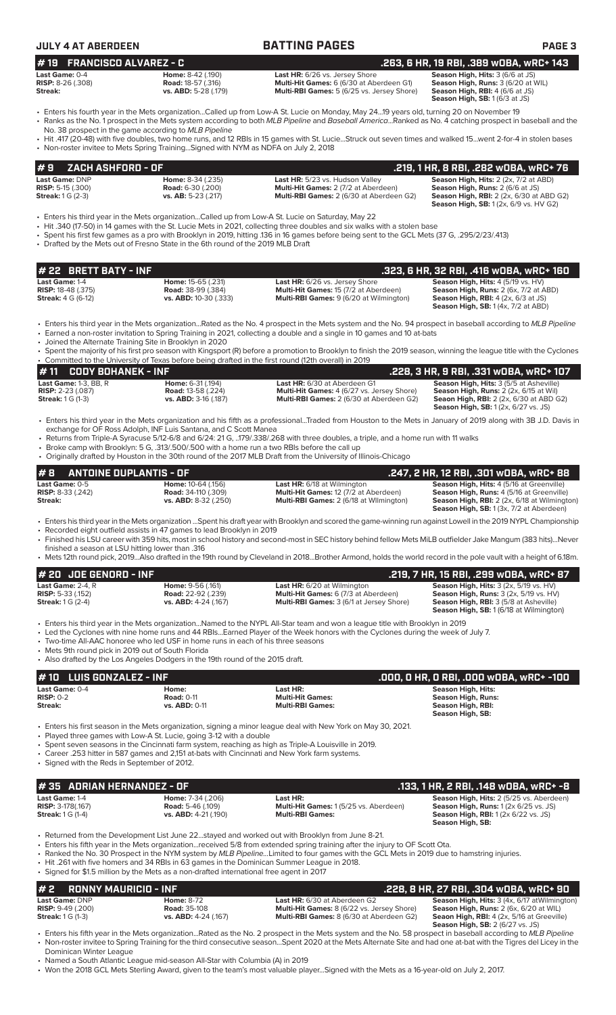| <b>JULY 4 AT ABERDEEN</b>                                                                                                                                                                                             |                                                                          | <b>BATTING PAGES</b>                                                                                                                                                                                                                                                                                                                                                                                                                                                                                 | <b>PAGE 3</b>                                                                                                                                                                             |
|-----------------------------------------------------------------------------------------------------------------------------------------------------------------------------------------------------------------------|--------------------------------------------------------------------------|------------------------------------------------------------------------------------------------------------------------------------------------------------------------------------------------------------------------------------------------------------------------------------------------------------------------------------------------------------------------------------------------------------------------------------------------------------------------------------------------------|-------------------------------------------------------------------------------------------------------------------------------------------------------------------------------------------|
| <b>FRANCISCO ALVAREZ - C</b><br># 19                                                                                                                                                                                  |                                                                          |                                                                                                                                                                                                                                                                                                                                                                                                                                                                                                      | .263, 6 HR, 19 RBI, .389 wOBA, wRC+ 143                                                                                                                                                   |
| Last Game: 0-4<br><b>RISP: 8-26 (.308)</b><br>Streak:                                                                                                                                                                 | Home: 8-42 (.190)<br><b>Road: 18-57 (.316)</b><br>vs. ABD: 5-28 (.179)   | Last HR: 6/26 vs. Jersey Shore<br>Multi-Hit Games: 6 (6/30 at Aberdeen G1)<br>Multi-RBI Games: 5 (6/25 vs. Jersey Shore)                                                                                                                                                                                                                                                                                                                                                                             | Season High. Hits: 3 (6/6 at JS)<br>Season High, Runs: 3 (6/20 at WIL)<br><b>Season High, RBI:</b> 4 (6/6 at JS)<br>Season High, SB: 1 (6/3 at JS)                                        |
| No. 38 prospect in the game according to MLB Pipeline                                                                                                                                                                 |                                                                          | • Enters his fourth year in the Mets organizationCalled up from Low-A St. Lucie on Monday, May 2419 years old, turning 20 on November 19<br>• Ranks as the No. 1 prospect in the Mets system according to both MLB Pipeline and Baseball AmericaRanked as No. 4 catching prospect in baseball and the<br>• Hit .417 (20-48) with five doubles, two home runs, and 12 RBIs in 15 games with St. LucieStruck out seven times and walked 15went 2-for-4 in stolen bases                                 |                                                                                                                                                                                           |
| • Non-roster invitee to Mets Spring Training Signed with NYM as NDFA on July 2, 2018                                                                                                                                  |                                                                          |                                                                                                                                                                                                                                                                                                                                                                                                                                                                                                      |                                                                                                                                                                                           |
| ZACH ASHFORD - OF<br>#9                                                                                                                                                                                               |                                                                          |                                                                                                                                                                                                                                                                                                                                                                                                                                                                                                      | .219, 1 HR, 8 RBI, .282 wOBA, wRC+ 76                                                                                                                                                     |
| Last Game: DNP<br><b>RISP:</b> 5-15 (.300)<br><b>Streak:</b> 1 G (2-3)                                                                                                                                                | Home: 8-34 (.235)<br><b>Road:</b> 6-30 (.200)<br>vs. AB: 5-23 (.217)     | Last HR: 5/23 vs. Hudson Valley<br>Multi-Hit Games: 2 (7/2 at Aberdeen)<br>Multi-RBI Games: 2 (6/30 at Aberdeen G2)                                                                                                                                                                                                                                                                                                                                                                                  | Season High, Hits: 2 (2x, 7/2 at ABD)<br>Season High, Runs: 2 (6/6 at JS)<br><b>Season High, RBI:</b> 2 (2x, 6/30 at ABD G2)<br><b>Season High, SB:</b> 1 (2x, 6/9 vs. HV G2)             |
| • Drafted by the Mets out of Fresno State in the 6th round of the 2019 MLB Draft                                                                                                                                      |                                                                          | Enters his third year in the Mets organizationCalled up from Low-A St. Lucie on Saturday, May 22<br>• Hit .340 (17-50) in 14 games with the St. Lucie Mets in 2021, collecting three doubles and six walks with a stolen base<br>• Spent his first few games as a pro with Brooklyn in 2019, hitting .136 in 16 games before being sent to the GCL Mets (37 G, .295/2/23/.413)                                                                                                                       |                                                                                                                                                                                           |
| <b>BRETT BATY - INF</b><br># 22                                                                                                                                                                                       |                                                                          |                                                                                                                                                                                                                                                                                                                                                                                                                                                                                                      | .323, 6 HR, 32 RBI, .416 WOBA, WRC+ 160                                                                                                                                                   |
| Last Game: 1-4                                                                                                                                                                                                        | Home: 15-65 (.231)                                                       | Last HR: 6/26 vs. Jersey Shore                                                                                                                                                                                                                                                                                                                                                                                                                                                                       | Season High, Hits: 4 (5/19 vs. HV)                                                                                                                                                        |
| <b>RISP: 18-48 (.375)</b><br><b>Streak:</b> 4 G (6-12)                                                                                                                                                                | Road: 38-99 (.384)<br>vs. ABD: 10-30 (.333)                              | Multi-Hit Games: 15 (7/2 at Aberdeen)<br>Multi-RBI Games: 9 (6/20 at Wilmington)                                                                                                                                                                                                                                                                                                                                                                                                                     | Season High, Runs: 2 (6x, 7/2 at ABD)<br><b>Season High, RBI:</b> $4$ (2x, $6/3$ at JS)<br><b>Season High, SB: 1 (4x, 7/2 at ABD)</b>                                                     |
| • Joined the Alternate Training Site in Brooklyn in 2020                                                                                                                                                              |                                                                          | • Enters his third year in the Mets organizationRated as the No. 4 prospect in the Mets system and the No. 94 prospect in baseball according to MLB Pipeline<br>• Earned a non-roster invitation to Spring Training in 2021, collecting a double and a single in 10 games and 10 at-bats                                                                                                                                                                                                             |                                                                                                                                                                                           |
|                                                                                                                                                                                                                       |                                                                          | • Spent the majority of his first pro season with Kingsport (R) before a promotion to Brooklyn to finish the 2019 season, winning the league title with the Cyclones<br>• Committed to the University of Texas before being drafted in the first round (12th overall) in 2019                                                                                                                                                                                                                        |                                                                                                                                                                                           |
| # 11<br><b>CODY BOHANEK - INF</b><br>Last Game: 1-3, BB, R                                                                                                                                                            | Home: 6-31 (.194)                                                        | Last HR: 6/30 at Aberdeen G1                                                                                                                                                                                                                                                                                                                                                                                                                                                                         | .228, 3 HR, 9 RBI, .331 wOBA, wRC+ 107<br>Season High, Hits: 3 (5/5 at Asheville)                                                                                                         |
| <b>RISP:</b> 2-23 (.087)<br><b>Streak:</b> 1 G (1-3)                                                                                                                                                                  | <b>Road: 13-58 (.224)</b><br>vs. ABD: 3-16 (.187)                        | Multi-Hit Games: 4 (6/27 vs. Jersey Shore)<br>Multi-RBI Games: 2 (6/30 at Aberdeen G2)                                                                                                                                                                                                                                                                                                                                                                                                               | Season High, Runs: 2 (2x, 6/15 at Wil)<br><b>Seaon High, RBI:</b> 2 (2x, 6/30 at ABD G2)<br><b>Season High, SB:</b> 1 (2x, 6/27 vs. JS)                                                   |
| exchange for OF Ross Adolph, INF Luis Santana, and C Scott Manea                                                                                                                                                      |                                                                          | • Enters his third year in the Mets organization and his fifth as a professionalTraded from Houston to the Mets in January of 2019 along with 3B J.D. Davis in                                                                                                                                                                                                                                                                                                                                       |                                                                                                                                                                                           |
|                                                                                                                                                                                                                       |                                                                          | • Returns from Triple-A Syracuse 5/12-6/8 and 6/24: 21 G, 179/.338/.268 with three doubles, a triple, and a home run with 11 walks<br>Broke camp with Brooklyn: 5 G, .313/.500/.500 with a home run a two RBIs before the call up<br>• Originally drafted by Houston in the 30th round of the 2017 MLB Draft from the University of Illinois-Chicago                                                                                                                                                 |                                                                                                                                                                                           |
| <b>ANTOINE DUPLANTIS - OF</b>                                                                                                                                                                                         |                                                                          |                                                                                                                                                                                                                                                                                                                                                                                                                                                                                                      | .247, 2 HR, 12 RBI, .301 wOBA, wRC+ 88                                                                                                                                                    |
| Last Game: 0-5<br><b>RISP:</b> 8-33 (.242)<br>Streak:                                                                                                                                                                 | Home: 10-64 (.156)<br><b>Road:</b> 34-110 (.309)<br>vs. ABD: 8-32 (.250) | Last HR: 6/18 at Wilmington<br><b>Multi-Hit Games:</b> 12 (7/2 at Aberdeen)<br>Multi-RBI Games: 2 (6/18 at Wilmington)                                                                                                                                                                                                                                                                                                                                                                               | Season High, Hits: 4 (5/16 at Greenville)<br><b>Season High, Runs:</b> 4 (5/16 at Greenville)<br>Season High, RBI: 2 (2x, 6/18 at Wilmington)<br>Season High, SB: 1 (3x, 7/2 at Aberdeen) |
| • Recorded eight outfield assists in 47 games to lead Brooklyn in 2019<br>finished a season at LSU hitting lower than .316                                                                                            |                                                                          | · Enters his third year in the Mets organization Spent his draft year with Brooklyn and scored the game-winning run against Lowell in the 2019 NYPL Championship<br>• Finished his LSU career with 359 hits, most in school history and second-most in SEC history behind fellow Mets MiLB outfielder Jake Mangum (383 hits)Never<br>• Mets 12th round pick, 2019Also drafted in the 19th round by Cleveland in 2018Brother Armond, holds the world record in the pole vault with a height of 6.18m. |                                                                                                                                                                                           |
| # 20 JOE GENORD - INF                                                                                                                                                                                                 |                                                                          |                                                                                                                                                                                                                                                                                                                                                                                                                                                                                                      |                                                                                                                                                                                           |
| Last Game: $2-4$ . $R$                                                                                                                                                                                                | Home: 9-56 (.161)                                                        | <b>Last HR:</b> 6/20 at Wilmington                                                                                                                                                                                                                                                                                                                                                                                                                                                                   | .219, 7 HR, 15 RBI, .299 wOBA, wRC+ 87<br>Season High, Hits: 3 (2x, 5/19 vs. HV)                                                                                                          |
| <b>RISP:</b> 5-33 (.152)<br><b>Streak: 1 G (2-4)</b>                                                                                                                                                                  | Road: 22-92 (.239)<br>vs. ABD: 4-24 (.167)                               | Multi-Hit Games: 6 (7/3 at Aberdeen)<br>Multi-RBI Games: 3 (6/1 at Jersey Shore)                                                                                                                                                                                                                                                                                                                                                                                                                     | Season High, Runs: 3 (2x, 5/19 vs. HV)<br>Season High, RBI: 3 (5/8 at Asheville)<br>Season High, SB: 1 (6/18 at Wilmington)                                                               |
| • Two-time All-AAC honoree who led USF in home runs in each of his three seasons<br>• Mets 9th round pick in 2019 out of South Florida                                                                                |                                                                          | • Enters his third year in the Mets organizationNamed to the NYPL All-Star team and won a league title with Brooklyn in 2019<br>• Led the Cyclones with nine home runs and 44 RBIsEarned Player of the Week honors with the Cyclones during the week of July 7.                                                                                                                                                                                                                                      |                                                                                                                                                                                           |
| • Also drafted by the Los Angeles Dodgers in the 19th round of the 2015 draft.                                                                                                                                        |                                                                          |                                                                                                                                                                                                                                                                                                                                                                                                                                                                                                      |                                                                                                                                                                                           |
| <b>LUIS GONZALEZ - INF</b><br># 10<br>Last Game: 0-4                                                                                                                                                                  | Home:                                                                    | Last HR:                                                                                                                                                                                                                                                                                                                                                                                                                                                                                             | .000, 0 HR, 0 RBI, .000 w0BA, wRC+ -100<br><b>Season High, Hits:</b>                                                                                                                      |
| $RISP: 0-2$<br>Streak:                                                                                                                                                                                                | <b>Road: 0-11</b><br>vs. ABD: 0-11                                       | <b>Multi-Hit Games:</b><br><b>Multi-RBI Games:</b>                                                                                                                                                                                                                                                                                                                                                                                                                                                   | <b>Season High, Runs:</b><br>Season High, RBI:<br>Season High, SB:                                                                                                                        |
| • Played three games with Low-A St. Lucie, going 3-12 with a double<br>• Career .253 hitter in 587 games and 2,151 at-bats with Cincinnati and New York farm systems.<br>• Signed with the Reds in September of 2012. |                                                                          | • Enters his first season in the Mets organization, signing a minor league deal with New York on May 30, 2021.<br>Spent seven seasons in the Cincinnati farm system, reaching as high as Triple-A Louisville in 2019.                                                                                                                                                                                                                                                                                |                                                                                                                                                                                           |
| #35 ADRIAN HERNANDEZ - OF                                                                                                                                                                                             |                                                                          |                                                                                                                                                                                                                                                                                                                                                                                                                                                                                                      | .133, 1 HR, 2 RBI, .148 wOBA, wRC+ -8                                                                                                                                                     |
| Last Game: 1-4<br><b>RISP: 3-178(.167)</b><br><b>Streak:</b> 1 G (1-4)                                                                                                                                                | Home: 7-34 (.206)<br><b>Road: 5-46 (.109)</b><br>vs. ABD: 4-21 (.190)    | Last HR:<br>Multi-Hit Games: 1 (5/25 vs. Aberdeen)<br><b>Multi-RBI Games:</b>                                                                                                                                                                                                                                                                                                                                                                                                                        | Season High, Hits: 2 (5/25 vs. Aberdeen)<br>Season High, Runs: 1 (2x 6/25 vs. JS)<br><b>Season High, RBI:</b> 1 (2x 6/22 vs. JS)<br>Season High, SB:                                      |
| • Hit .261 with five homers and 34 RBIs in 63 games in the Dominican Summer League in 2018.<br>• Signed for \$1.5 million by the Mets as a non-drafted international free agent in 2017                               |                                                                          | • Returned from the Development List June 22stayed and worked out with Brooklyn from June 8-21.<br>• Enters his fifth year in the Mets organizationreceived 5/8 from extended spring training after the injury to OF Scott Ota.<br>• Ranked the No. 30 Prospect in the NYM system by MLB PipelineLimited to four games with the GCL Mets in 2019 due to hamstring injuries.                                                                                                                          |                                                                                                                                                                                           |
| #2<br><b>RONNY MAURICIO - INF</b>                                                                                                                                                                                     |                                                                          |                                                                                                                                                                                                                                                                                                                                                                                                                                                                                                      | .228, 8 HR, 27 RBI, .304 wOBA, wRC+ 90                                                                                                                                                    |
| Last Game: DNP<br>RISP: 9-49 (.200)<br><b>Streak:</b> 1 G (1-3)                                                                                                                                                       | <b>Home: 8-72</b><br><b>Road: 35-108</b><br>vs. ABD: 4-24 (.167)         | Last HR: 6/30 at Aberdeen G2<br>Multi-Hit Games: 8 (6/22 vs. Jersey Shore)<br>Multi-RBI Games: 8 (6/30 at Aberdeen G2)                                                                                                                                                                                                                                                                                                                                                                               | Season High, Hits: 3 (4x, 6/17 at Wilmington)<br>Season High, Runs: 2 (6x, 6/20 at WIL)<br>Seaon High, RBI: 4 (2x, 5/16 at Greeville)<br><b>Season High, SB: 2 (6/27 vs. JS)</b>          |

• Enters his fifth year in the Mets organization...Rated as the No. 2 prospect in the Mets system and the No. 58 prospect in baseball according to *MLB Pipeline* • Non-roster invitee to Spring Training for the third consecutive season...Spent 2020 at the Mets Alternate Site and had one at-bat with the Tigres del Licey in the Dominican Winter League

• Named a South Atlantic League mid-season All-Star with Columbia (A) in 2019

• Won the 2018 GCL Mets Sterling Award, given to the team's most valuable player...Signed with the Mets as a 16-year-old on July 2, 2017.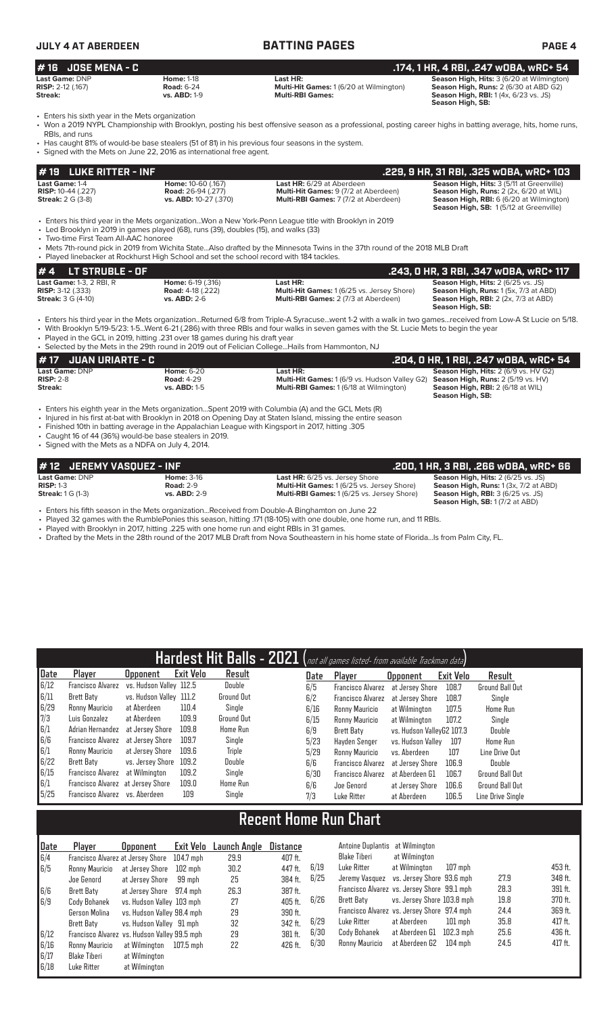| JULY 4 AT ABERDEEN                                           |                                                               | <b>BATTING PAGES</b>                                                           | <b>PAGE 4</b>                                                                                                                                                |
|--------------------------------------------------------------|---------------------------------------------------------------|--------------------------------------------------------------------------------|--------------------------------------------------------------------------------------------------------------------------------------------------------------|
| # 16 JOSE MENA - C                                           |                                                               |                                                                                | .174, 1 HR, 4 RBI, .247 wOBA, wRC+ 54                                                                                                                        |
| <b>Last Game:</b> DNP<br><b>RISP:</b> 2-12 (.167)<br>Streak: | <b>Home: 1-18</b><br><b>Road: 6-24</b><br><b>vs. ABD: 1-9</b> | Last HR:<br>Multi-Hit Games: 1 (6/20 at Wilmington)<br><b>Multi-RBI Games:</b> | Season High, Hits: 3 (6/20 at Wilmington)<br><b>Season High, Runs: 2 (6/30 at ABD G2)</b><br><b>Season High, RBI:</b> 1(4x, 6/23 vs. JS)<br>Season High, SB: |
| • Enters his sixth year in the Mets organization             |                                                               |                                                                                |                                                                                                                                                              |

• Won a 2019 NYPL Championship with Brooklyn, posting his best offensive season as a professional, posting career highs in batting average, hits, home runs, RBIs, and runs

- Has caught 81% of would-be base stealers (51 of 81) in his previous four seasons in the system.
- Signed with the Mets on June 22, 2016 as international free agent.

| <b>LUKE RITTER - INF</b><br>#19                                                   |                                                                                                                                                                                  |                                                                                                                                                                                                                                                                                                                                                                                                          | .229, 9 HR, 31 RBI, .325 wOBA, wRC+ 103                                                                                                                                          |
|-----------------------------------------------------------------------------------|----------------------------------------------------------------------------------------------------------------------------------------------------------------------------------|----------------------------------------------------------------------------------------------------------------------------------------------------------------------------------------------------------------------------------------------------------------------------------------------------------------------------------------------------------------------------------------------------------|----------------------------------------------------------------------------------------------------------------------------------------------------------------------------------|
| Last Game: 1-4<br><b>RISP:</b> 10-44 (.227)<br><b>Streak: 2 G (3-8)</b>           | Home: 10-60 (.167)<br><b>Road: 26-94 (.277)</b><br>vs. ABD: 10-27 (.370)                                                                                                         | Last HR: 6/29 at Aberdeen<br><b>Multi-Hit Games: 9 (7/2 at Aberdeen)</b><br>Multi-RBI Games: 7 (7/2 at Aberdeen)                                                                                                                                                                                                                                                                                         | Season High, Hits: 3 (5/11 at Greenville)<br>Season High, Runs: 2 (2x, 6/20 at WIL)<br><b>Season High, RBI:</b> 6 (6/20 at Wilmington)<br>Season High, SB: 1(5/12 at Greenville) |
| • Two-time First Team All-AAC honoree                                             | • Led Brooklyn in 2019 in games played (68), runs (39), doubles (15), and walks (33)<br>• Played linebacker at Rockhurst High School and set the school record with 184 tackles. | • Enters his third year in the Mets organizationWon a New York-Penn League title with Brooklyn in 2019<br>• Mets 7th-round pick in 2019 from Wichita StateAlso drafted by the Minnesota Twins in the 37th round of the 2018 MLB Draft                                                                                                                                                                    |                                                                                                                                                                                  |
| <b>LT STRUBLE - OF</b><br>#4                                                      |                                                                                                                                                                                  |                                                                                                                                                                                                                                                                                                                                                                                                          | .243, 0 HR, 3 RBI, .347 wOBA, wRC+ 117                                                                                                                                           |
| Last Game: 1-3, 2 RBI, R<br><b>RISP:</b> 3-12 (.333)<br><b>Streak:</b> 3 G (4-10) | Home: 6-19 (.316)<br><b>Road: 4-18 (.222)</b><br><b>vs. ABD: 2-6</b>                                                                                                             | Last HR:<br>Multi-Hit Games: 1 (6/25 vs. Jersey Shore)<br>Multi-RBI Games: 2 (7/3 at Aberdeen)                                                                                                                                                                                                                                                                                                           | Season High, Hits: 2 (6/25 vs. JS)<br>Season High, Runs: 1 (5x, 7/3 at ABD)<br><b>Season High, RBI:</b> 2 (2x, 7/3 at ABD)<br>Season High, SB:                                   |
|                                                                                   | • Played in the GCL in 2019, hitting .231 over 18 games during his draft year                                                                                                    | • Enters his third year in the Mets organizationReturned 6/8 from Triple-A Syracusewent 1-2 with a walk in two gamesreceived from Low-A St Lucie on 5/18.<br>• With Brooklyn 5/19-5/23: 1-5Went 6-21 (.286) with three RBIs and four walks in seven games with the St. Lucie Mets to begin the year<br>• Selected by the Mets in the 29th round in 2019 out of Felician College Hails from Hammonton, NJ |                                                                                                                                                                                  |
| <b>JUAN URIARTE - C</b>                                                           |                                                                                                                                                                                  |                                                                                                                                                                                                                                                                                                                                                                                                          | .204, 0 HR, 1 RBI, .247 w0BA, wRC+ 54                                                                                                                                            |
| Last Game: DNP                                                                    | <b>Home: 6-20</b>                                                                                                                                                                | Last HR:                                                                                                                                                                                                                                                                                                                                                                                                 | Season High, Hits: 2 (6/9 vs. HV G2)                                                                                                                                             |

**RISP:** 2-8 **Road:** 4-29 **Multi-Hit Games:** 1 (6/9 vs. Hudson Valley G2) **Season High, Runs:** 2 (5/19 vs. HV) **Streak: vs. ABD:** 1-5 **Multi-RBI Games:** 1 (6/18 at Wilmington) **Season High, RBI:** 2 (6/18 at WIL) **Season High, SB:** 

• Enters his eighth year in the Mets organization...Spent 2019 with Columbia (A) and the GCL Mets (R)

- Injured in his first at-bat with Brooklyn in 2018 on Opening Day at Staten Island, missing the entire season
- Finished 10th in batting average in the Appalachian League with Kingsport in 2017, hitting .305
- Caught 16 of 44 (36%) would-be base stealers in 2019.

• Signed with the Mets as a NDFA on July 4, 2014.

| #12 JEREMY VASOUEZ - INF                                                                      |                     |                                                  | .200. 1 HR. 3 RBI. .266 WOBA. WRC+ 66             |
|-----------------------------------------------------------------------------------------------|---------------------|--------------------------------------------------|---------------------------------------------------|
| Last Game: DNP                                                                                | <b>Home: 3-16</b>   | <b>Last HR:</b> 6/25 vs. Jersey Shore            | <b>Season High, Hits: 2 (6/25 vs. JS)</b>         |
| $RISP: 1-3$                                                                                   | <b>Road: 2-9</b>    | <b>Multi-Hit Games: 1(6/25 vs. Jersey Shore)</b> | <b>Season High, Runs:</b> 1 (3x, 7/2 at ABD)      |
| <b>Streak: 1 G (1-3)</b>                                                                      | <b>vs. ABD: 2-9</b> | <b>Multi-RBI Games: 1(6/25 vs. Jersey Shore)</b> | <b>Season High, RBI:</b> $3(6/25 \text{ vs. JS})$ |
|                                                                                               |                     |                                                  | <b>Season High, SB: 1 (7/2 at ABD)</b>            |
| Enters bis fifth ceases in the Mete examination. Desaived from Dauble A Dinghamton on June 22 |                     |                                                  |                                                   |

• Enters his fifth season in the Mets organization...Received from Double-A Binghamton on June 22

• Played 32 games with the RumblePonies this season, hitting .171 (18-105) with one double, one home run, and 11 RBIs.

• Played with Brooklyn in 2017, hitting .225 with one home run and eight RBIs in 31 games.

• Drafted by the Mets in the 28th round of the 2017 MLB Draft from Nova Southeastern in his home state of Florida...Is from Palm City, FL.

|        | Hardest Hit Balls - 2021 (not all games listed- from available Trackman data) |                         |                  |                   |  |      |                          |                           |           |                        |
|--------|-------------------------------------------------------------------------------|-------------------------|------------------|-------------------|--|------|--------------------------|---------------------------|-----------|------------------------|
| Date   | Player                                                                        | <b>Upponent</b>         | <b>Exit Velo</b> | Result            |  | Date | Player                   | <b>Opponent</b>           | Exit Velo | Result                 |
| 6/12   | Francisco Alvarez                                                             | vs. Hudson Valley 112.5 |                  | Double            |  | 6/5  | <b>Francisco Alvarez</b> | at Jersey Shore           | 108.7     | <b>Ground Ball Out</b> |
| 6/11   | Brett Baty                                                                    | vs. Hudson Valley 111.2 |                  | <b>Ground Out</b> |  | 6/2  | <b>Francisco Alvarez</b> | at Jersey Shore           | 108.7     | Single                 |
| 6/29   | Ronny Mauricio                                                                | at Aberdeen             | 110.4            | Single            |  | 6/16 | Ronny Mauricio           | at Wilmington             | 107.5     | Home Run               |
| 7/3    | Luis Gonzalez                                                                 | at Aberdeen             | 109.9            | Ground Out        |  | 6/15 | Ronny Mauricio           | at Wilmington             | 107.2     | Single                 |
| 6/1    | Adrian Hernandez at Jersey Shore                                              |                         | 109.8            | Home Run          |  | 6/9  | Brett Baty               | vs. Hudson ValleyG2 107.3 |           | Double                 |
| 6/6    | Francisco Alvarez                                                             | at Jersev Shore         | 109.7            | Single            |  | 5/23 | Havden Senger            | vs. Hudson Vallev         | 107       | Home Run               |
| 6/1    | Ronny Mauricio                                                                | at Jersey Shore         | 109.6            | <b>Triple</b>     |  | 5/29 | Ronny Mauricio           | vs. Aberdeen              | 107       | Line Drive Out         |
| 6/22   | Brett Baty                                                                    | vs. Jersey Shore        | 109.2            | Double            |  | 6/6  | <b>Francisco Alvarez</b> | at Jersey Shore           | 106.9     | Double                 |
| 6/15   | Francisco Alvarez                                                             | at Wilmington           | 109.2            | Single            |  | 6/30 | <b>Francisco Alvarez</b> | at Aberdeen G1            | 106.7     | Ground Ball Out        |
| 6/1    | Francisco Alvarez at Jersey Shore                                             |                         | 109.0            | Home Run          |  | 6/6  | Joe Genord               | at Jersey Shore           | 106.6     | <b>Ground Ball Out</b> |
| $5/25$ | Francisco Alvarez vs. Aberdeen                                                |                         | 109              | Single            |  | 7/3  | Luke Ritter              | at Aberdeen               | 106.5     | Line Drive Single      |

# **Recent Home Run Chart**

| ∥Date | Plaver                                       | <b>Opponent</b>            | Exit Velo | Launch Angle | Distance |      | Antoine Duplantis                           | at Wilmington              |           |      |         |
|-------|----------------------------------------------|----------------------------|-----------|--------------|----------|------|---------------------------------------------|----------------------------|-----------|------|---------|
| 6/4   | Francisco Alvarez at Jersey Shore            |                            | 104.7 mph | 29.9         | 407 ft.  |      | Blake Tiberi                                | at Wilmington              |           |      |         |
| 6/5   | Ronny Mauricio                               | at Jersev Shore            | 102 mph   | 30.2         | 447 ft.  | 6/19 | Luke Ritter                                 | at Wilmington              | $107$ mph |      | 453 ft. |
|       | Joe Genord                                   | at Jersev Shore            | 99 mph    | 25           | 384 ft.  | 6/25 | Jeremy Vasquez vs. Jersey Shore 93.6 mph    |                            |           | 27.9 | 348 ft. |
| 6/6   | Brett Baty                                   | at Jersey Shore 97.4 mph   |           | 26.3         | 387 ft.  |      | Francisco Alvarez vs. Jersey Shore 99.1 mph |                            |           | 28.3 | 391 ft. |
| 6/9   | Cody Bohanek                                 | vs. Hudson Valley 103 mph  |           | 27           | 405 ft.  | 6/26 | Brett Baty                                  | vs. Jersey Shore 103.8 mph |           | 19.8 | 370 ft. |
|       | Gerson Molina                                | vs. Hudson Valley 98.4 mph |           | 29           | 390 ft.  |      | Francisco Alvarez vs. Jersey Shore 97.4 mph |                            |           | 24.4 | 369 ft. |
|       | Brett Baty                                   | vs. Hudson Valley 91 mph   |           | 32           | 342 ft.  | 6/29 | Luke Ritter                                 | at Aberdeen                | $101$ mph | 35.8 | 417 ft. |
| 6/12  | Francisco Alvarez vs. Hudson Valley 99.5 mph |                            |           | 29           | 381 ft.  | 6/30 | Cody Bohanek                                | at Aberdeen G1             | 102.3 mph | 25.6 | 436 ft. |
| 6/16  | Ronny Mauricio                               | at Wilmington              | 107.5 mph | 22           | 426 ft.  | 6/30 | Ronny Mauricio                              | at Aberdeen G2             | 104 mph   | 24.5 | 417 ft. |
| 6/17  | Blake Tiberi                                 | at Wilmington              |           |              |          |      |                                             |                            |           |      |         |
| 6/18  | Luke Ritter                                  | at Wilmington              |           |              |          |      |                                             |                            |           |      |         |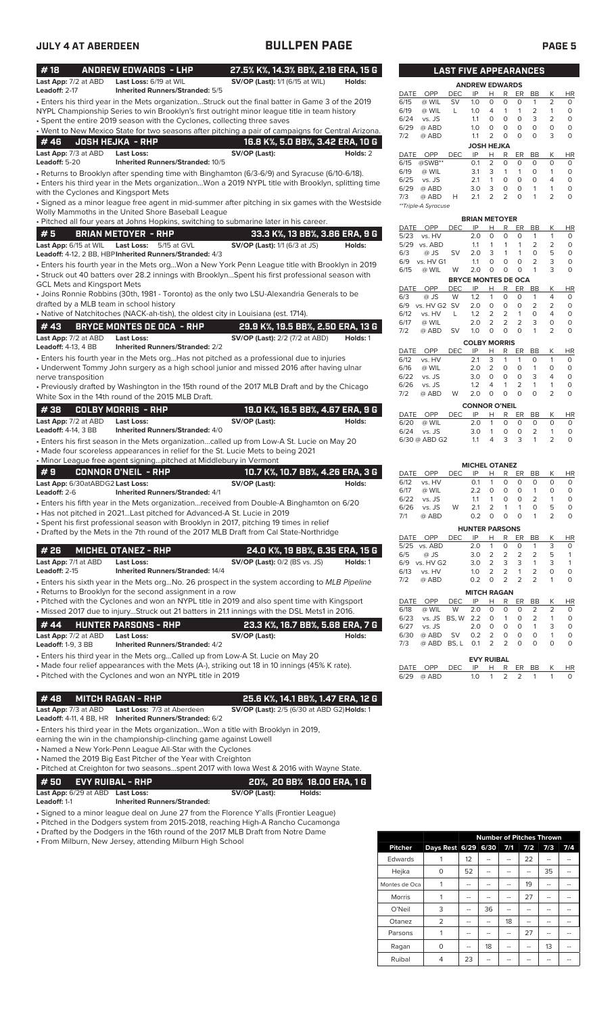| #18                                                | <b>ANDREW EDWARDS - LHP</b>                                                                                                                           | 27.5% K%, 14.3% BB%, 2.18 ERA, 15 G                                                                                                                                                                |          |
|----------------------------------------------------|-------------------------------------------------------------------------------------------------------------------------------------------------------|----------------------------------------------------------------------------------------------------------------------------------------------------------------------------------------------------|----------|
| Last App: 7/2 at ABD<br>Leadoff: 2-17              | Last Loss: 6/19 at WIL<br><b>Inherited Runners/Stranded: 5/5</b>                                                                                      | SV/OP (Last): 1/1 (6/15 at WIL)                                                                                                                                                                    | Holds:   |
|                                                    |                                                                                                                                                       | . Enters his third year in the Mets organizationStruck out the final batter in Game 3 of the 2019                                                                                                  |          |
|                                                    | • Spent the entire 2019 season with the Cyclones, collecting three saves                                                                              | NYPL Championship Series to win Brooklyn's first outright minor league title in team history                                                                                                       |          |
|                                                    |                                                                                                                                                       | . Went to New Mexico State for two seasons after pitching a pair of campaigns for Central Arizona.                                                                                                 |          |
| #46                                                | <b>JOSH HEJKA - RHP</b>                                                                                                                               | 16.8 K%, 5.0 BB%, 3.42 ERA, 10 G                                                                                                                                                                   |          |
| Last App: 7/3 at ABD<br>Leadoff: 5-20              | Last Loss:<br>Inherited Runners/Stranded: 10/5                                                                                                        | SV/OP (Last):                                                                                                                                                                                      | Holds: 2 |
|                                                    |                                                                                                                                                       | · Returns to Brooklyn after spending time with Binghamton (6/3-6/9) and Syracuse (6/10-6/18).<br>Enters his third year in the Mets organizationWon a 2019 NYPL title with Brooklyn, splitting time |          |
|                                                    | with the Cyclones and Kingsport Mets                                                                                                                  | · Signed as a minor league free agent in mid-summer after pitching in six games with the Westside                                                                                                  |          |
|                                                    | Wolly Mammoths in the United Shore Baseball League<br>· Pitched all four years at Johns Hopkins, switching to submarine later in his career.          |                                                                                                                                                                                                    |          |
| #5                                                 | <b>BRIAN METOYER - RHP</b>                                                                                                                            | 33.3 K%, 13 BB%, 3.86 ERA, 9 G                                                                                                                                                                     |          |
| Last App: 6/15 at WIL                              | <b>Last Loss:</b><br>5/15 at GVL                                                                                                                      | <b>SV/OP (Last):</b> 1/1 (6/3 at JS)                                                                                                                                                               | Holds:   |
|                                                    | Leadoff: 4-12, 2 BB, HBP Inherited Runners/Stranded: 4/3                                                                                              |                                                                                                                                                                                                    |          |
| <b>GCL Mets and Kingsport Mets</b>                 |                                                                                                                                                       | · Enters his fourth year in the Mets orgWon a New York Penn League title with Brooklyn in 2019<br>· Struck out 40 batters over 28.2 innings with BrooklynSpent his first professional season with  |          |
|                                                    | drafted by a MLB team in school history                                                                                                               | • Joins Ronnie Robbins (30th, 1981 - Toronto) as the only two LSU-Alexandria Generals to be                                                                                                        |          |
|                                                    | · Native of Natchitoches (NACK-ah-tish), the oldest city in Louisiana (est. 1714).                                                                    |                                                                                                                                                                                                    |          |
| # 43                                               | <b>BRYCE MONTES DE OCA - RHP</b>                                                                                                                      | 29.9 K%, 19.5 BB%, 2.50 ERA, 13 G                                                                                                                                                                  |          |
| Last App: 7/2 at ABD<br>Leadoff: 4-13, 4 BB        | Last Loss:<br><b>Inherited Runners/Stranded: 2/2</b>                                                                                                  | <b>SV/OP (Last):</b> 2/2 (7/2 at ABD)                                                                                                                                                              | Holds: 1 |
|                                                    |                                                                                                                                                       | · Enters his fourth year in the Mets orgHas not pitched as a professional due to injuries                                                                                                          |          |
| nerve transposition                                |                                                                                                                                                       | • Underwent Tommy John surgery as a high school junior and missed 2016 after having ulnar                                                                                                          |          |
|                                                    | White Sox in the 14th round of the 2015 MLB Draft.                                                                                                    | • Previously drafted by Washington in the 15th round of the 2017 MLB Draft and by the Chicago                                                                                                      |          |
| #38                                                | <b>COLBY MORRIS - RHP</b>                                                                                                                             | 19.0 K%, 16.5 BB%, 4.67 ERA, 9 G                                                                                                                                                                   |          |
| Last App: 7/2 at ABD<br><b>Leadoff: 4-14, 3 BB</b> | <b>Last Loss:</b><br><b>Inherited Runners/Stranded: 4/0</b>                                                                                           | SV/OP (Last):                                                                                                                                                                                      | Holds:   |
|                                                    | • Made four scoreless appearances in relief for the St. Lucie Mets to being 2021<br>• Minor League free agent signingpitched at Middlebury in Vermont | · Enters his first season in the Mets organizationcalled up from Low-A St. Lucie on May 20                                                                                                         |          |
| #9                                                 | <b>CONNOR O'NEIL - RHP</b>                                                                                                                            | 10.7 K%, 10.7 BB%, 4.26 ERA, 3 G                                                                                                                                                                   |          |
| Last App: 6/30atABDG2 Last Loss:<br>Leadoff: 2-6   | <b>Inherited Runners/Stranded: 4/1</b>                                                                                                                | SV/OP (Last):                                                                                                                                                                                      | Holds:   |
|                                                    |                                                                                                                                                       | • Enters his fifth year in the Mets organizationreceived from Double-A Binghamton on 6/20                                                                                                          |          |
|                                                    | • Has not pitched in 2021Last pitched for Advanced-A St. Lucie in 2019                                                                                | · Spent his first professional season with Brooklyn in 2017, pitching 19 times in relief                                                                                                           |          |
|                                                    |                                                                                                                                                       | • Drafted by the Mets in the 7th round of the 2017 MLB Draft from Cal State-Northridge                                                                                                             |          |
| #26                                                | <b>MICHEL OTANEZ - RHP</b>                                                                                                                            | 24.0 K%, 19 BB%, 6.35 ERA, 15 G                                                                                                                                                                    |          |
| Last App: 7/1 at ABD                               | <b>Last Loss:</b>                                                                                                                                     | <b>SV/OP (Last): 0/2 (BS vs. JS)</b>                                                                                                                                                               | Holds: 1 |
| Leadoff: 2-15                                      | <b>Inherited Runners/Stranded: 14/4</b>                                                                                                               |                                                                                                                                                                                                    |          |
|                                                    | • Returns to Brooklyn for the second assignment in a row                                                                                              | • Enters his sixth year in the Mets orgNo. 26 prospect in the system according to MLB Pipeline                                                                                                     |          |
|                                                    |                                                                                                                                                       | • Pitched with the Cyclones and won an NYPL title in 2019 and also spent time with Kingsport                                                                                                       |          |
|                                                    |                                                                                                                                                       | • Missed 2017 due to injuryStruck out 21 batters in 21.1 innings with the DSL Mets1 in 2016.                                                                                                       |          |
| #44                                                | <b>HUNTER PARSONS - RHP</b>                                                                                                                           | 23.3 K%, 16.7 BB%, 5.68 ERA, 7 G                                                                                                                                                                   |          |
| Last App: 7/2 at ABD<br><b>Leadoff: 1-9, 3 BB</b>  | <b>Last Loss:</b><br><b>Inherited Runners/Stranded: 4/2</b>                                                                                           | SV/OP (Last):                                                                                                                                                                                      | Holds:   |
|                                                    | • Enters his third year in the Mets orgCalled up from Low-A St. Lucie on May 20                                                                       |                                                                                                                                                                                                    |          |
|                                                    | • Pitched with the Cyclones and won an NYPL title in 2019                                                                                             | • Made four relief appearances with the Mets (A-), striking out 18 in 10 innings (45% K rate).                                                                                                     |          |
| #48                                                | <b>MITCH RAGAN - RHP</b>                                                                                                                              | 25.6 K%, 14.1 BB%, 1.47 ERA, 12 G                                                                                                                                                                  |          |
| Last App: 7/3 at ABD                               | Last Loss: 7/3 at Aberdeen<br>Leadoff: 4-11, 4 BB, HR Inherited Runners/Stranded: 6/2                                                                 | SV/OP (Last): 2/5 (6/30 at ABD G2) Holds: 1                                                                                                                                                        |          |
|                                                    | • Enters his third year in the Mets organizationWon a title with Brooklyn in 2019,                                                                    |                                                                                                                                                                                                    |          |
|                                                    | earning the win in the championship-clinching game against Lowell                                                                                     |                                                                                                                                                                                                    |          |
|                                                    | • Named a New York-Penn League All-Star with the Cyclones<br>• Named the 2019 Big East Pitcher of the Year with Creighton                             |                                                                                                                                                                                                    |          |
|                                                    |                                                                                                                                                       | $\bullet$ Pitched at Creighton for two seasonsspent 2017 with lowa West & 2016 with Wayne State.                                                                                                   |          |
| # 50                                               | <b>EVY RUIBAL - RHP</b>                                                                                                                               | 20%, 20 BB% 18.00 ERA, 1 G                                                                                                                                                                         |          |
| Last App: 6/29 at ABD<br>$l$ and off $1.1$         | Last Loss:<br>Inharitad Dunnarc/Strandad                                                                                                              | SV/OP (Last):<br>Holds:                                                                                                                                                                            |          |
|                                                    |                                                                                                                                                       |                                                                                                                                                                                                    |          |

**Leadoff:** 1-1 **Inherited Runners/Stranded:**

- Signed to a minor league deal on June 27 from the Florence Y'alls (Frontier League)
- Pitched in the Dodgers system from 2015-2018, reaching High-A Rancho Cucamonga • Drafted by the Dodgers in the 16th round of the 2017 MLB Draft from Notre Dame

• From Milburn, New Jersey, attending Milburn High School

|                |                         | <b>Number of Pitches Thrown</b> |    |    |     |     |     |  |  |  |
|----------------|-------------------------|---------------------------------|----|----|-----|-----|-----|--|--|--|
| <b>Pitcher</b> | Days Rest 6/29 6/30 7/1 |                                 |    |    | 7/2 | 7/3 | 7/4 |  |  |  |
| Edwards        |                         | 12                              |    |    | 22  | --  |     |  |  |  |
| Hejka          | 0                       | 52                              |    |    | --  | 35  |     |  |  |  |
| Montes de Oca  |                         |                                 |    |    | 19  |     |     |  |  |  |
| <b>Morris</b>  |                         |                                 |    |    | 27  |     |     |  |  |  |
| O'Neil         | 3                       |                                 | 36 |    |     |     |     |  |  |  |
| Otanez         | $\overline{2}$          | --                              |    | 18 | --  | --  |     |  |  |  |
| Parsons        |                         |                                 |    |    | 27  |     |     |  |  |  |
| Ragan          | 0                       | --                              | 18 |    | --  | 13  |     |  |  |  |
| Ruibal         | 4                       | 23                              |    |    |     |     |     |  |  |  |

|             |                       | <b>LAST FIVE APPEARANCES</b> |                   |          |                |          |                |                |           |  |
|-------------|-----------------------|------------------------------|-------------------|----------|----------------|----------|----------------|----------------|-----------|--|
|             | <b>ANDREW EDWARDS</b> |                              |                   |          |                |          |                |                |           |  |
| DATE        | OPP                   | DEC                          | IP                | н        | R              | ER       | ВB             | Κ              | <b>HR</b> |  |
| 6/15        | @ WIL                 | SV                           | 1.0               | $\Omega$ | 0              | O        | 1              | $\overline{2}$ | 0         |  |
| 6/19        | @ WIL                 | L                            | 1.0               | 4        | 1              | 1        | $\overline{2}$ | 1              | 0         |  |
| 6/24        | vs. JS                |                              | 1.1               | $\Omega$ | 0              | $\Omega$ | 3              | $\overline{2}$ | 0         |  |
| 6/29        | @ ABD                 |                              | 1.0               | $\Omega$ | 0              | 0        | O              | 0              | 0         |  |
| 7/2         | @ ABD                 |                              | 1.1               | 2        | O              | ∩        | $\Omega$       | 3              | 0         |  |
|             |                       |                              | <b>JOSH HEJKA</b> |          |                |          |                |                |           |  |
| <b>DATE</b> | OPP                   | <b>DEC</b>                   | IP                | н        | R              | ER       | <b>BB</b>      | Κ              | HR        |  |
| 6/15        | @SWB**                |                              | 0.1               | 2        | O              | O        | $\Omega$       | $\Omega$       | 0         |  |
| 6/19        | @ WIL                 |                              | 3.1               | 3        | 1              | 1        | O              | 1              | 0         |  |
| 6/25        | vs. JS                |                              | 2.1               | 1        | 0              | O        | O              | 4              | 0         |  |
| 6/29        | @ ABD                 |                              | 3.0               | 3        | 0              | O        | 1              | 1              | 0         |  |
| 7/3         | @ ABD                 | н                            | 2.1               | 2        | $\overline{2}$ | 0        | 1              | 2              | 0         |  |
|             | **Triple-A Syracuse   |                              |                   |          |                |          |                |                |           |  |
|             |                       |                              |                   |          |                |          |                |                |           |  |

|             |                            |            | <b>BRIAN METOYER</b> |                |   |                |          |                |             |  |  |
|-------------|----------------------------|------------|----------------------|----------------|---|----------------|----------|----------------|-------------|--|--|
| DATE        | OPP                        | DEC        | IP                   | Н              | R | ER             | BB       | Κ              | ΗR          |  |  |
| 5/23        | vs. HV                     |            | 2.0                  | $\Omega$       | 0 | 0              | 1        | 1              | 0           |  |  |
| 5/29        | vs. ABD                    |            | 1.1                  | 1              | 1 | 1              | 2        | 2              | 0           |  |  |
| 6/3         | @ JS                       | SV         | 2.0                  | 3              | 1 | 1              | 0        | 5              | 0           |  |  |
| 6/9         | vs. HV G1                  |            | 1.1                  | O              | 0 | O              | 2        | 3              | 0           |  |  |
| 6/15        | @ WIL                      | W          | 2.0                  | O              | 0 | 0              | 1        | 3              | O           |  |  |
|             | <b>BRYCE MONTES DE OCA</b> |            |                      |                |   |                |          |                |             |  |  |
| <b>DATE</b> | OPP                        | <b>DEC</b> | IP                   | н              | R | ER             | BB       | Κ              | HR          |  |  |
| 6/3         | @ JS                       | W          | 1.2                  | 1              | 0 | $\Omega$       | 1        | 4              | 0           |  |  |
| 6/9         | vs. HV G2                  | <b>SV</b>  | 2.0                  | 0              | 0 | O              | 2        | 2              | 0           |  |  |
| 6/12        | vs. HV                     | L          | 1.2                  | 2              | 2 | 1              | O        | 4              | $\mathbf 0$ |  |  |
| 6/17        | @ WIL                      |            | 2.0                  | $\overline{2}$ | 2 | 2              | 3        | 0              | $\mathbf 0$ |  |  |
| 7/2         | @ ABD                      | SV         | 1.0                  | 0              | O | $\Omega$       | 1        | $\overline{2}$ | O           |  |  |
|             |                            |            | <b>COLBY MORRIS</b>  |                |   |                |          |                |             |  |  |
| <b>DATE</b> | OPP                        | <b>DEC</b> | IP                   | н              | R | ER             | BB       | Κ              | HR          |  |  |
| 6/12        | vs. HV                     |            | 2.1                  | 3              | 1 | 1              | 0        | 1              | 0           |  |  |
| 6/16        | @ WIL                      |            | 2.0                  | $\overline{2}$ | 0 | O              | 1        | O              | 0           |  |  |
| 6/22        | vs. JS                     |            | 3.0                  | 0              | O | O              | 3        | 4              | 0           |  |  |
| 6/26        | vs. JS                     |            | 1.2                  | 4              | 1 | $\overline{2}$ | 1        | 1              | 0           |  |  |
| 7/2         | @ ABD                      | W          | 2.0                  | 0              | O | $\Omega$       | $\Omega$ | 2              | $\mathbf 0$ |  |  |

| <b>CONNOR O'NEIL</b> |               |                    |          |  |  |         |          |  |    |
|----------------------|---------------|--------------------|----------|--|--|---------|----------|--|----|
| DATE OPP             |               | DEC IP H R ER BB K |          |  |  |         |          |  | HR |
|                      | 6/20 @ WIL    |                    | 20 1 0 0 |  |  |         | $\Omega$ |  | O. |
|                      | $6/24$ vs. JS |                    | 30 D     |  |  | 1 0 0 2 |          |  |    |
|                      | 6/30 @ ABD G2 |                    | 11       |  |  | 4 3 3 1 |          |  |    |

|                       |                    |            | <b>MICHEL OTANEZ</b> |                |                |          |                |   |          |  |
|-----------------------|--------------------|------------|----------------------|----------------|----------------|----------|----------------|---|----------|--|
| DATE                  | OPP                | DEC        | IP                   | Н              | R              | ER       | ВB             | Κ | ΗR       |  |
| 6/12                  | vs. HV             |            | 0.1                  | 1              | 0              | 0        | 0              | O | 0        |  |
| 6/17                  | @ WIL              |            | 2.2                  | O              | 0              | 0        | 1              | O | 0        |  |
| 6/22                  | vs. JS             |            | 1.1                  | 1              | 0              | 0        | 2              | 1 | 0        |  |
| 6/26                  | vs. JS             | W          | 2.1                  | 2              | 1              | 1        | 0              | 5 | 0        |  |
| 7/1                   | @ ABD              |            | 0.2                  | O              | 0              | 0        | 1              | 2 | 0        |  |
| <b>HUNTER PARSONS</b> |                    |            |                      |                |                |          |                |   |          |  |
| <b>DATE</b>           | OPP                | <b>DEC</b> | IP                   | н              | R              | ER       | BB             | Κ | HR       |  |
| 5/25                  | vs. ABD            |            | 2.0                  | 1              | 0              | O        | 1              | 3 | $\Omega$ |  |
| 6/5                   | $@$ JS             |            | 3.0                  | 2              | 2              | 2        | 2              | 5 | 1        |  |
| 6/9                   | vs. HV G2          |            | 3.0                  | $\overline{2}$ | 3              | 3        | 1              | 3 | 1        |  |
| 6/13                  | vs. HV             |            | 1.0                  | $\overline{2}$ | $\overline{2}$ | 1        | 2              | 0 | 0        |  |
| 7/2                   | @ ABD              |            | 0.2                  | 0              | 2              | 2        | $\overline{2}$ | 1 | 0        |  |
|                       | <b>MITCH RAGAN</b> |            |                      |                |                |          |                |   |          |  |
| <b>DATE</b>           | OPP                | DEC        | IP                   | н              | R              | ER       | BB             | Κ | ΗR       |  |
| 6/18                  | @ WIL              | W          | 2.0                  | $\Omega$       | $\Omega$       | $\Omega$ | $\overline{2}$ | 2 | 0        |  |
| 6/23                  | vs. JS             | BS.W       | 2.2                  | O              | 1              | O        | $\overline{2}$ | 1 | 0        |  |
| 6/27                  | vs. JS             |            | 2.0                  | O              | O              | 0        | 1              | 3 | 0        |  |

| 6/27 vs.JS 2.0 0 0 0 1 3      |                   |  |  |          |
|-------------------------------|-------------------|--|--|----------|
| 6/30 @ ABD SV 0.2 2 0 0 0     |                   |  |  | $\Omega$ |
| 7/3 @ ABD BS, L 0.1 2 2 0 0 0 |                   |  |  | $\Omega$ |
|                               |                   |  |  |          |
|                               | <b>EVY RUIBAL</b> |  |  |          |
| DATE OPP DECIPH RERBBK HR     |                   |  |  |          |
| 6/29 @ ABD                    | 1.0 1 2 2 1 1     |  |  |          |
|                               |                   |  |  |          |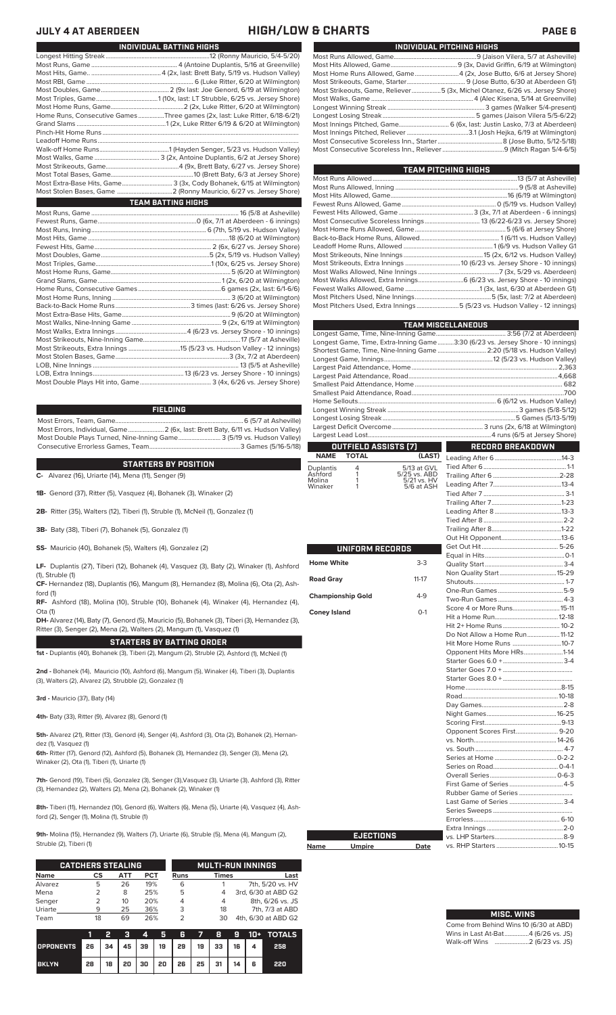## **JULY 4 AT ABERDEEN HIGH/LOW & CHARTS PAGE 6**

| INDIVIDUAL PITCHING HIGHS |                                                                             |  |  |  |  |  |  |  |
|---------------------------|-----------------------------------------------------------------------------|--|--|--|--|--|--|--|
|                           |                                                                             |  |  |  |  |  |  |  |
|                           |                                                                             |  |  |  |  |  |  |  |
|                           | Most Home Runs Allowed, Game 4 (2x, Jose Butto, 6/6 at Jersey Shore)        |  |  |  |  |  |  |  |
|                           |                                                                             |  |  |  |  |  |  |  |
|                           | Most Strikeouts, Game, Reliever5 (3x, Michel Otanez, 6/26 vs. Jersey Shore) |  |  |  |  |  |  |  |
|                           |                                                                             |  |  |  |  |  |  |  |
|                           |                                                                             |  |  |  |  |  |  |  |
|                           |                                                                             |  |  |  |  |  |  |  |
|                           | Most Innings Pitched, Game 6 (6x, last: Justin Lasko, 7/3 at Aberdeen)      |  |  |  |  |  |  |  |
|                           |                                                                             |  |  |  |  |  |  |  |
|                           |                                                                             |  |  |  |  |  |  |  |
|                           |                                                                             |  |  |  |  |  |  |  |
|                           |                                                                             |  |  |  |  |  |  |  |

| TEAM PITCHING HIGHS                                                       |  |
|---------------------------------------------------------------------------|--|
|                                                                           |  |
|                                                                           |  |
|                                                                           |  |
|                                                                           |  |
|                                                                           |  |
|                                                                           |  |
|                                                                           |  |
|                                                                           |  |
|                                                                           |  |
|                                                                           |  |
|                                                                           |  |
|                                                                           |  |
| Most Walks Allowed, Extra Innings 6 (6/23 vs. Jersey Shore - 10 innings)  |  |
|                                                                           |  |
|                                                                           |  |
| Most Pitchers Used, Extra Innings 5 (5/23 vs. Hudson Valley - 12 innings) |  |
|                                                                           |  |

|                          |                      |                             | <b>TEAM MISCELLANEOUS</b>                                                      |  |  |  |  |  |
|--------------------------|----------------------|-----------------------------|--------------------------------------------------------------------------------|--|--|--|--|--|
|                          |                      |                             |                                                                                |  |  |  |  |  |
|                          |                      |                             | Longest Game, Time, Extra-Inning Game3:30 (6/23 vs. Jersey Shore - 10 innings) |  |  |  |  |  |
|                          |                      |                             | Shortest Game, Time, Nine-Inning Game  2:20 (5/18 vs. Hudson Valley)           |  |  |  |  |  |
|                          |                      |                             |                                                                                |  |  |  |  |  |
|                          |                      |                             |                                                                                |  |  |  |  |  |
|                          |                      |                             |                                                                                |  |  |  |  |  |
|                          |                      |                             |                                                                                |  |  |  |  |  |
|                          |                      |                             |                                                                                |  |  |  |  |  |
|                          |                      |                             |                                                                                |  |  |  |  |  |
|                          |                      |                             |                                                                                |  |  |  |  |  |
|                          |                      |                             |                                                                                |  |  |  |  |  |
|                          |                      |                             |                                                                                |  |  |  |  |  |
|                          | OUTFIELD ASSISTS (7) |                             | <b>RECORD BREAKDOWN</b>                                                        |  |  |  |  |  |
| <b>NAME</b>              | <b>TOTAL</b>         | (LAST)                      |                                                                                |  |  |  |  |  |
| Duplantis                | 4                    | 5/13 at GVL                 |                                                                                |  |  |  |  |  |
| Ashford                  | 1                    | 5/25 vs. ABD<br>5/21 vs. HV |                                                                                |  |  |  |  |  |
| Molina<br>Winaker        | 1<br>1               | 5/6 at ASH                  |                                                                                |  |  |  |  |  |
|                          |                      |                             |                                                                                |  |  |  |  |  |
|                          |                      |                             |                                                                                |  |  |  |  |  |
|                          |                      |                             |                                                                                |  |  |  |  |  |
|                          |                      |                             |                                                                                |  |  |  |  |  |
|                          |                      |                             |                                                                                |  |  |  |  |  |
|                          |                      |                             |                                                                                |  |  |  |  |  |
|                          | UNIFORM RECORDS      |                             |                                                                                |  |  |  |  |  |
|                          |                      |                             |                                                                                |  |  |  |  |  |
| <b>Home White</b>        |                      | $3-3$                       |                                                                                |  |  |  |  |  |
|                          |                      |                             |                                                                                |  |  |  |  |  |
| <b>Road Gray</b>         |                      | $11 - 17$                   |                                                                                |  |  |  |  |  |
| <b>Championship Gold</b> |                      | $4-9$                       |                                                                                |  |  |  |  |  |
|                          |                      |                             |                                                                                |  |  |  |  |  |
| <b>Coney Island</b>      |                      | $O-1$                       | Score 4 or More Runs 15-11                                                     |  |  |  |  |  |
|                          |                      |                             |                                                                                |  |  |  |  |  |
|                          |                      |                             | Hit 2+ Home Runs 10-2                                                          |  |  |  |  |  |
|                          |                      |                             | Do Not Allow a Home Run 11-12                                                  |  |  |  |  |  |
|                          |                      |                             | Hit More Home Runs 10-7                                                        |  |  |  |  |  |
|                          |                      |                             | Opponent Hits More HRs1-14                                                     |  |  |  |  |  |
|                          |                      |                             |                                                                                |  |  |  |  |  |
|                          |                      |                             |                                                                                |  |  |  |  |  |
|                          |                      |                             |                                                                                |  |  |  |  |  |
|                          |                      |                             |                                                                                |  |  |  |  |  |
|                          |                      |                             |                                                                                |  |  |  |  |  |
|                          |                      |                             |                                                                                |  |  |  |  |  |
|                          |                      |                             |                                                                                |  |  |  |  |  |
|                          |                      |                             | Opponent Scores First 9-20                                                     |  |  |  |  |  |
|                          |                      |                             |                                                                                |  |  |  |  |  |
|                          |                      |                             |                                                                                |  |  |  |  |  |
|                          |                      |                             |                                                                                |  |  |  |  |  |
|                          |                      |                             |                                                                                |  |  |  |  |  |
|                          |                      |                             |                                                                                |  |  |  |  |  |
|                          |                      |                             | First Game of Series 4-5                                                       |  |  |  |  |  |
|                          |                      |                             |                                                                                |  |  |  |  |  |
|                          |                      |                             | Last Game of Series  3-4                                                       |  |  |  |  |  |
|                          |                      |                             |                                                                                |  |  |  |  |  |
|                          |                      |                             |                                                                                |  |  |  |  |  |
|                          |                      |                             |                                                                                |  |  |  |  |  |
|                          | <b>EJECTIONS</b>     |                             |                                                                                |  |  |  |  |  |
| Name                     | <b>Umpire</b>        | Date                        |                                                                                |  |  |  |  |  |

# **MISC. WINS**

| Come from Behind Wins 10 (6/30 at ABD) |  |  |
|----------------------------------------|--|--|
| Wins in Last At-Bat4 (6/26 vs. JS)     |  |  |
|                                        |  |  |

| <u>INDIVIDUAL DATITING MIGMS</u>                                            |
|-----------------------------------------------------------------------------|
|                                                                             |
|                                                                             |
|                                                                             |
|                                                                             |
|                                                                             |
|                                                                             |
|                                                                             |
| Home Runs, Consecutive Games Three games (2x, last: Luke Ritter, 6/18-6/21) |
|                                                                             |
|                                                                             |
|                                                                             |
|                                                                             |
|                                                                             |
|                                                                             |
|                                                                             |
| Most Extra-Base Hits, Game 3 (3x, Cody Bohanek, 6/15 at Wilmington)         |
|                                                                             |
| <b>TEAM BATTING HIGHS</b>                                                   |
|                                                                             |
|                                                                             |
|                                                                             |
|                                                                             |
|                                                                             |
|                                                                             |
|                                                                             |
|                                                                             |
|                                                                             |
|                                                                             |
|                                                                             |
|                                                                             |
|                                                                             |
|                                                                             |
|                                                                             |
|                                                                             |
|                                                                             |
|                                                                             |
|                                                                             |

**INDIVIDUAL BATTING HIGHS**

**FIELDING**

LOB, Extra Innings........................................................13 (6/23 vs. Jersey Shore - 10 innings)

Most Errors, Team, Game...............................................................................6 (5/7 at Asheville) .<br>2 (6x, last: Brett Baty, 6/11 vs. Hudson Valley)<br>3 (5/19 vs. Hudson Valley) Most Double Plays Turned, Nine-Inning Game.......................... 3 (5/19 vs. Hudson Valley) Consecutive Errorless Games, Team...

**STARTERS BY POSITION**

**C-** Alvarez (16), Uriarte (14), Mena (11), Senger (9)

Most Double Plays Hit into, Game...

**1B-** Genord (37), Ritter (5), Vasquez (4), Bohanek (3), Winaker (2)

**2B-** Ritter (35), Walters (12), Tiberi (1), Struble (1), McNeil (1), Gonzalez (1)

**3B-** Baty (38), Tiberi (7), Bohanek (5), Gonzalez (1)

**SS-** Mauricio (40), Bohanek (5), Walters (4), Gonzalez (2)

**LF-** Duplantis (27), Tiberi (12), Bohanek (4), Vasquez (3), Baty (2), Winaker (1), Ashford (1), Struble (1)

**CF-** Hernandez (18), Duplantis (16), Mangum (8), Hernandez (8), Molina (6), Ota (2), Ashford (1)

**RF-** Ashford (18), Molina (10), Struble (10), Bohanek (4), Winaker (4), Hernandez (4), Ota (1)

**DH-** Alvarez (14), Baty (7), Genord (5), Mauricio (5), Bohanek (3), Tiberi (3), Hernandez (3), Ritter (3), Senger (2), Mena (2), Walters (2), Mangum (1), Vasquez (1)

**STARTERS BY BATTING ORDER**

**1st -** Duplantis (40), Bohanek (3), Tiberi (2), Mangum (2), Struble (2), Ashford (1), McNeil (1)

**2nd -** Bohanek (14), Mauricio (10), Ashford (6), Mangum (5), Winaker (4), Tiberi (3), Duplantis (3), Walters (2), Alvarez (2), Strubble (2), Gonzalez (1)

**3rd -** Mauricio (37), Baty (14)

**4th-** Baty (33), Ritter (9), Alvarez (8), Genord (1)

**5th-** Alvarez (21), Ritter (13), Genord (4), Senger (4), Ashford (3), Ota (2), Bohanek (2), Hernandez (1), Vasquez (1)

**6th-** Ritter (17), Genord (12), Ashford (5), Bohanek (3), Hernandez (3), Senger (3), Mena (2), Winaker (2), Ota (1), Tiberi (1), Uriarte (1)

**7th-** Genord (19), Tiberi (5), Gonzalez (3), Senger (3),Vasquez (3), Uriarte (3), Ashford (3), Ritter (3), Hernandez (2), Walters (2), Mena (2), Bohanek (2), Winaker (1)

**8th-** Tiberi (11), Hernandez (10), Genord (6), Walters (6), Mena (5), Uriarte (4), Vasquez (4), Ashford (2), Senger (1), Molina (1), Struble (1)

**Name** 

**9th-** Molina (15), Hernandez (9), Walters (7), Uriarte (6), Struble (5), Mena (4), Mangum (2), Struble (2), Tiberi (1)

|             | <b>CATCHERS STEALING</b> |            |     | <b>MULTI-RUN INNINGS</b> |              |                     |  |  |
|-------------|--------------------------|------------|-----|--------------------------|--------------|---------------------|--|--|
| <b>Name</b> | СS                       | <b>ATT</b> | PCT | <b>Runs</b>              | <b>Times</b> | Last                |  |  |
| Alvarez     | 5                        | 26         | 19% | 6                        |              | 7th, 5/20 vs. HV    |  |  |
| Mena        |                          | 8          | 25% | 5                        |              | 3rd, 6/30 at ABD G2 |  |  |
| Senger      | 2                        | 10         | 20% |                          | 4            | 8th, 6/26 vs. JS    |  |  |
| Uriarte     | 9                        | 25         | 36% | 3                        | 18           | 7th, 7/3 at ABD     |  |  |
| Team        | 18                       | 69         | 26% |                          | 30           | 4th, 6/30 at ABD G2 |  |  |

|                                        |                 | 2 |  |                           |  |  | 3 4 5 6 7 8 9 10 + TOTALS |
|----------------------------------------|-----------------|---|--|---------------------------|--|--|---------------------------|
| OPPONENTS 26 34 45 39 19 29 19 33 16 4 |                 |   |  |                           |  |  | 258                       |
| <b>BKLYN</b>                           | 28 <sup>1</sup> |   |  | 18 20 30 20 26 25 31 14 6 |  |  | 220                       |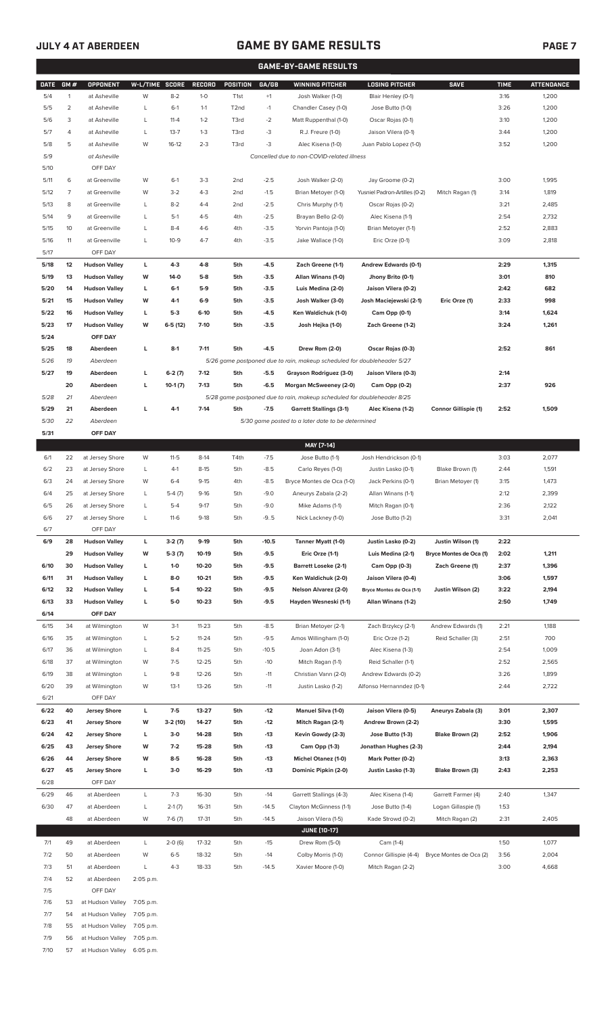# **JULY 4 AT ABERDEEN GAME BY GAME RESULTS PAGE 7**

|  |  | í |
|--|--|---|
|  |  |   |

|             | <b>GAME-BY-GAME RESULTS</b> |                         |                   |           |               |                   |         |                                                                         |                               |                             |             |                   |
|-------------|-----------------------------|-------------------------|-------------------|-----------|---------------|-------------------|---------|-------------------------------------------------------------------------|-------------------------------|-----------------------------|-------------|-------------------|
| <b>DATE</b> | GM#                         | OPPONENT                | W-L/TIME SCORE    |           | <b>RECORD</b> | POSITION          | GA/GB   | <b>WINNING PITCHER</b>                                                  | <b>LOSING PITCHER</b>         | <b>SAVE</b>                 | <b>TIME</b> | <b>ATTENDANCE</b> |
| 5/4         | $\mathbf{1}$                | at Asheville            | W                 | $8 - 2$   | $1 - 0$       | T <sub>1st</sub>  | $+1$    | Josh Walker (1-0)                                                       | Blair Henley (0-1)            |                             | 3:16        | 1,200             |
| 5/5         | $\overline{\mathbf{c}}$     | at Asheville            | L                 | $6-1$     | $1 - 1$       | T <sub>2</sub> nd | $-1$    | Chandler Casey (1-0)                                                    | Jose Butto (1-0)              |                             | 3:26        | 1,200             |
| 5/6         | 3                           | at Asheville            | L                 | $11 - 4$  | $1 - 2$       | T3rd              | $-2$    | Matt Ruppenthal (1-0)                                                   | Oscar Rojas (0-1)             |                             | 3:10        | 1,200             |
| 5/7         | 4                           | at Asheville            | L                 | $13 - 7$  | $1 - 3$       | T3rd              | -3      | R.J. Freure (1-0)                                                       | Jaison Vilera (0-1)           |                             | 3:44        | 1,200             |
|             |                             |                         |                   |           |               |                   |         |                                                                         |                               |                             |             |                   |
| 5/8         | 5                           | at Asheville            | W                 | $16-12$   | $2 - 3$       | T3rd              | -3      | Alec Kisena (1-0)                                                       | Juan Pablo Lopez (1-0)        |                             | 3:52        | 1,200             |
| 5/9         |                             | at Asheville            |                   |           |               |                   |         | Cancelled due to non-COVID-related illness                              |                               |                             |             |                   |
| 5/10        |                             | OFF DAY                 |                   |           |               |                   |         |                                                                         |                               |                             |             |                   |
| 5/11        | 6                           | at Greenville           | W                 | $6-1$     | $3-3$         | 2 <sub>nd</sub>   | $-2.5$  | Josh Walker (2-0)                                                       | Jay Groome (0-2)              |                             | 3:00        | 1,995             |
| 5/12        | $\overline{7}$              | at Greenville           | W                 | $3 - 2$   | $4 - 3$       | 2 <sub>nd</sub>   | $-1.5$  | Brian Metoyer (1-0)                                                     | Yusniel Padron-Artilles (0-2) | Mitch Ragan (1)             | 3:14        | 1,819             |
| 5/13        | 8                           | at Greenville           | L                 | $8 - 2$   | $4 - 4$       | 2 <sub>nd</sub>   | $-2.5$  | Chris Murphy (1-1)                                                      | Oscar Rojas (0-2)             |                             | 3:21        | 2,485             |
| 5/14        | 9                           | at Greenville           | Г                 | $5-1$     | $4 - 5$       | 4th               | $-2.5$  | Brayan Bello (2-0)                                                      | Alec Kisena (1-1)             |                             | 2:54        | 2,732             |
| 5/15        | 10                          | at Greenville           | Г                 | $8 - 4$   | $4-6$         | 4th               | $-3.5$  | Yorvin Pantoja (1-0)                                                    | Brian Metoyer (1-1)           |                             | 2:52        | 2,883             |
| 5/16        | 11                          | at Greenville           | Г                 | $10 - 9$  | $4 - 7$       | 4th               | $-3.5$  | Jake Wallace (1-0)                                                      | Eric Orze (0-1)               |                             | 3:09        | 2,818             |
| 5/17        |                             | OFF DAY                 |                   |           |               |                   |         |                                                                         |                               |                             |             |                   |
| 5/18        | 12                          | <b>Hudson Valley</b>    | L                 | 4-3       | $4 - 8$       | 5th               | $-4.5$  | Zach Greene (1-1)                                                       | Andrew Edwards (0-1)          |                             | 2:29        | 1,315             |
| 5/19        | 13                          | <b>Hudson Valley</b>    | W                 | $14-0$    | $5-8$         | 5th               | $-3.5$  | Allan Winans (1-0)                                                      | Jhony Brito (0-1)             |                             | 3:01        | 810               |
| 5/20        | 14                          | <b>Hudson Valley</b>    | L                 | $6 - 1$   | $5-9$         | 5th               | $-3.5$  | Luis Medina (2-0)                                                       | Jaison Vilera (0-2)           |                             | 2:42        | 682               |
| 5/21        | 15                          | <b>Hudson Valley</b>    | W                 | $4-1$     | $6-9$         | 5th               | $-3.5$  | Josh Walker (3-0)                                                       | Josh Maciejewski (2-1)        | Eric Orze (1)               | 2:33        | 998               |
| 5/22        | 16                          |                         |                   | $5-3$     | $6-10$        | 5th               |         | Ken Waldichuk (1-0)                                                     |                               |                             |             |                   |
|             |                             | <b>Hudson Valley</b>    | L                 |           |               |                   | $-4.5$  |                                                                         | Cam Opp (0-1)                 |                             | 3:14        | 1,624             |
| 5/23        | 17                          | <b>Hudson Valley</b>    | W                 | $6-5(12)$ | $7-10$        | 5th               | $-3.5$  | Josh Hejka (1-0)                                                        | Zach Greene (1-2)             |                             | 3:24        | 1,261             |
| 5/24        |                             | OFF DAY                 |                   |           |               |                   |         |                                                                         |                               |                             |             |                   |
| 5/25        | 18                          | Aberdeen                | L                 | $8-1$     | $7 - 11$      | 5th               | $-4.5$  | Drew Rom (2-0)                                                          | Oscar Rojas (0-3)             |                             | 2:52        | 861               |
| 5/26        | 19                          | Aberdeen                |                   |           |               |                   |         | 5/26 game postponed due to rain, makeup scheduled for doubleheader 5/27 |                               |                             |             |                   |
| 5/27        | 19                          | Aberdeen                | г                 | $6-2(7)$  | $7-12$        | 5th               | $-5.5$  | Grayson Rodriguez (3-0)                                                 | Jaison Vilera (0-3)           |                             | 2:14        |                   |
|             | 20                          | Aberdeen                | г                 | $10-1(7)$ | $7-13$        | 5th               | $-6.5$  | <b>Morgan McSweeney (2-0)</b>                                           | Cam Opp (0-2)                 |                             | 2:37        | 926               |
| 5/28        | 21                          | Aberdeen                |                   |           |               |                   |         | 5/28 game postponed due to rain, makeup scheduled for doubleheader 8/25 |                               |                             |             |                   |
| 5/29        | 21                          | Aberdeen                | г                 | $4-1$     | $7-14$        | 5th               | $-7.5$  | <b>Garrett Stallings (3-1)</b>                                          | Alec Kisena (1-2)             | <b>Connor Gillispie (1)</b> | 2:52        | 1,509             |
| 5/30        | 22                          | Aberdeen                |                   |           |               |                   |         | 5/30 game posted to a later date to be determined                       |                               |                             |             |                   |
| 5/31        |                             | OFF DAY                 |                   |           |               |                   |         |                                                                         |                               |                             |             |                   |
|             |                             |                         |                   |           |               |                   |         | MAY [7-14]                                                              |                               |                             |             |                   |
| 6/1         | 22                          | at Jersey Shore         | W                 | $11 - 5$  | $8-14$        | T4th              | $-7.5$  | Jose Butto (1-1)                                                        | Josh Hendrickson (0-1)        |                             | 3:03        | 2,077             |
| 6/2         | 23                          | at Jersey Shore         | L                 | $4-1$     | $8 - 15$      | 5th               | $-8.5$  | Carlo Reyes (1-0)                                                       | Justin Lasko (0-1)            | Blake Brown (1)             | 2:44        | 1,591             |
| 6/3         | 24                          | at Jersey Shore         | W                 | $6 - 4$   | $9 - 15$      | 4th               | $-8.5$  | Bryce Montes de Oca (1-0)                                               | Jack Perkins (0-1)            | Brian Metoyer (1)           | 3:15        | 1,473             |
|             |                             |                         |                   |           |               |                   |         |                                                                         |                               |                             |             |                   |
| 6/4         | 25                          | at Jersey Shore         | L                 | $5-4(7)$  | $9-16$        | 5th               | $-9.0$  | Aneurys Zabala (2-2)                                                    | Allan Winans (1-1)            |                             | 2:12        | 2,399             |
| 6/5         | 26                          | at Jersey Shore         | L                 | $5 - 4$   | $9 - 17$      | 5th               | $-9.0$  | Mike Adams (1-1)                                                        | Mitch Ragan (0-1)             |                             | 2:36        | 2,122             |
| 6/6         | 27                          | at Jersey Shore         | L                 | $11-6$    | $9-18$        | 5th               | $-9.5$  | Nick Lackney (1-0)                                                      | Jose Butto (1-2)              |                             | 3:31        | 2,041             |
| 6/7         |                             | OFF DAY                 |                   |           |               |                   |         |                                                                         |                               |                             |             |                   |
| 6/9         | 28                          | <b>Hudson Valley</b>    | L                 | $3-2(7)$  | $9-19$        | 5th               | $-10.5$ | Tanner Myatt (1-0)                                                      | Justin Lasko (0-2)            | Justin Wilson (1)           | 2:22        |                   |
|             | 29                          | <b>Hudson Valley</b>    | W                 | $5-3(7)$  | 10-19         | 5th               | $-9.5$  | Eric Orze (1-1)                                                         | Luis Medina (2-1)             | Bryce Montes de Oca (1)     | 2:02        | 1,211             |
| 6/10        | 30                          | <b>Hudson Valley</b>    | L                 | $1 - 0$   | 10-20         | 5th               | $-9.5$  | <b>Barrett Loseke (2-1)</b>                                             | Cam Opp (0-3)                 | Zach Greene (1)             | 2:37        | 1,396             |
| 6/11        | 31                          | <b>Hudson Valley</b>    | L                 | $8-0$     | $10 - 21$     | 5th               | $-9.5$  | Ken Waldichuk (2-0)                                                     | Jaison Vilera (0-4)           |                             | 3:06        | 1,597             |
| 6/12        | 32                          | <b>Hudson Valley</b>    | L                 | $5-4$     | 10-22         | 5th               | $-9.5$  | Nelson Alvarez (2-0)                                                    | Bryce Montes de Oca (1-1)     | Justin Wilson (2)           | 3:22        | 2,194             |
| 6/13        | 33                          | <b>Hudson Valley</b>    | L                 | $5-0$     | $10 - 23$     | 5th               | $-9.5$  | Hayden Wesneski (1-1)                                                   | Allan Winans (1-2)            |                             | 2:50        | 1,749             |
| 6/14        |                             | OFF DAY                 |                   |           |               |                   |         |                                                                         |                               |                             |             |                   |
| 6/15        | 34                          | at Wilmington           | W                 | $3-1$     | $11 - 23$     | 5th               | $-8.5$  | Brian Metoyer (2-1)                                                     | Zach Brzykcy (2-1)            | Andrew Edwards (1)          | 2:21        | 1,188             |
| 6/16        | 35                          | at Wilmington           | L                 | $5 - 2$   | $11 - 24$     | 5th               | $-9.5$  | Amos Willingham (1-0)                                                   | Eric Orze (1-2)               | Reid Schaller (3)           | 2:51        | 700               |
| 6/17        | 36                          | at Wilmington           | L                 | $8 - 4$   | $11 - 25$     | 5th               | $-10.5$ | Joan Adon (3-1)                                                         | Alec Kisena (1-3)             |                             | 2:54        | 1,009             |
| 6/18        | 37                          | at Wilmington           | W                 | $7 - 5$   | 12-25         | 5th               | $-10$   | Mitch Ragan (1-1)                                                       | Reid Schaller (1-1)           |                             | 2:52        | 2,565             |
|             |                             |                         |                   |           |               |                   |         |                                                                         |                               |                             |             |                   |
| 6/19        | 38                          | at Wilmington           | L                 | $9 - 8$   | 12-26         | 5th               | $-11$   | Christian Vann (2-0)                                                    | Andrew Edwards (0-2)          |                             | 3:26        | 1,899             |
| 6/20        | 39                          | at Wilmington           | W                 | $13-1$    | $13 - 26$     | 5th               | $-11$   | Justin Lasko (1-2)                                                      | Alfonso Hernanndez (0-1)      |                             | 2:44        | 2,722             |
| 6/21        |                             | OFF DAY                 |                   |           |               |                   |         |                                                                         |                               |                             |             |                   |
| 6/22        | 40                          | <b>Jersey Shore</b>     | L                 | $7-5$     | 13-27         | 5th               | $-12$   | <b>Manuel Silva (1-0)</b>                                               | Jaison Vilera (0-5)           | Aneurys Zabala (3)          | 3:01        | 2,307             |
| 6/23        | 41                          | <b>Jersey Shore</b>     | W                 | 3-2 (10)  | 14-27         | 5th               | $-12$   | Mitch Ragan (2-1)                                                       | Andrew Brown (2-2)            |                             | 3:30        | 1,595             |
| 6/24        | 42                          | <b>Jersey Shore</b>     | L                 | $3-0$     | 14-28         | 5th               | $-13$   | Kevin Gowdy (2-3)                                                       | Jose Butto (1-3)              | Blake Brown (2)             | 2:52        | 1,906             |
| 6/25        | 43                          | <b>Jersey Shore</b>     | W                 | $7-2$     | 15-28         | 5th               | $-13$   | Cam Opp (1-3)                                                           | Jonathan Hughes (2-3)         |                             | 2:44        | 2,194             |
| 6/26        | 44                          | <b>Jersey Shore</b>     | W                 | $8-5$     | 16-28         | 5th               | $-13$   | <b>Michel Otanez (1-0)</b>                                              | Mark Potter (0-2)             |                             | 3:13        | 2,363             |
| 6/27        | 45                          | <b>Jersey Shore</b>     | L                 | $3-0$     | 16-29         | 5th               | $-13$   | Dominic Pipkin (2-0)                                                    | Justin Lasko (1-3)            | Blake Brown (3)             | 2:43        | 2,253             |
| 6/28        |                             | OFF DAY                 |                   |           |               |                   |         |                                                                         |                               |                             |             |                   |
| 6/29        | 46                          | at Aberdeen             | L                 | $7 - 3$   | 16-30         | 5th               | $-14$   | Garrett Stallings (4-3)                                                 | Alec Kisena (1-4)             | Garrett Farmer (4)          | 2:40        | 1,347             |
| 6/30        | 47                          | at Aberdeen             | L                 | $2-1(7)$  | 16-31         | 5th               | -14.5   | Clayton McGinness (1-1)                                                 | Jose Butto (1-4)              | Logan Gillaspie (1)         | 1:53        |                   |
|             | 48                          | at Aberdeen             | W                 | $7-6(7)$  | $17 - 31$     | 5th               | $-14.5$ | Jaison Vilera (1-5)                                                     | Kade Strowd (0-2)             | Mitch Ragan (2)             | 2:31        | 2,405             |
|             |                             |                         |                   |           |               |                   |         | <b>JUNE (10-17)</b>                                                     |                               |                             |             |                   |
|             |                             |                         |                   |           |               |                   |         |                                                                         |                               |                             |             |                   |
| 7/1         | 49                          | at Aberdeen             | L                 | $2-0(6)$  | 17-32         | 5th               | $-15$   | Drew Rom (5-0)                                                          | Cam (1-4)                     |                             | 1:50        | 1,077             |
| 7/2         | 50                          | at Aberdeen             | W                 | $6 - 5$   | 18-32         | 5th               | $-14$   | Colby Morris (1-0)                                                      | Connor Gillispie (4-4)        | Bryce Montes de Oca (2)     | 3:56        | 2,004             |
| 7/3         | 51                          | at Aberdeen             | L                 | $4 - 3$   | 18-33         | 5th               | $-14.5$ | Xavier Moore (1-0)                                                      | Mitch Ragan (2-2)             |                             | 3:00        | 4,668             |
| 7/4         | 52                          | at Aberdeen             | 2:05 p.m.         |           |               |                   |         |                                                                         |                               |                             |             |                   |
| 7/5         |                             | OFF DAY                 |                   |           |               |                   |         |                                                                         |                               |                             |             |                   |
| 7/6         | 53                          | at Hudson Valley        | 7:05 p.m.         |           |               |                   |         |                                                                         |                               |                             |             |                   |
| 7/7         |                             | of Hudson <i>Vollou</i> | 7.05 <sub>n</sub> |           |               |                   |         |                                                                         |                               |                             |             |                   |

7/7 54 at Hudson Valley 7:05 p.m.

- 7/8 55 at Hudson Valley 7:05 p.m.
- 7/9 56 at Hudson Valley 7:05 p.m.
- 7/10 57 at Hudson Valley 6:05 p.m.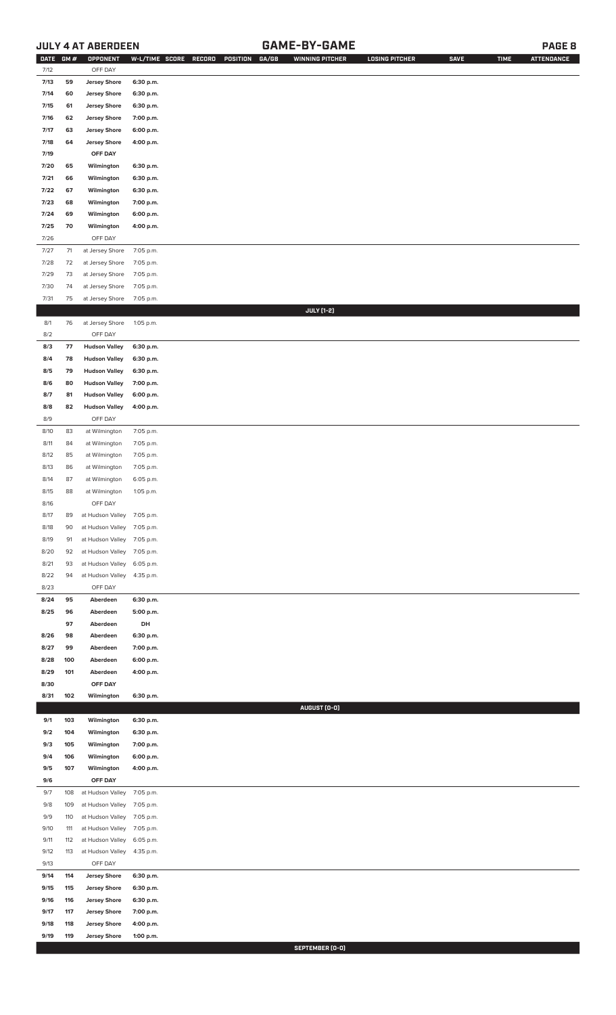# **JULY 4 AT ABERDEEN GAME-BY-GAME PAGE 8**

| DATE GM # |     | OPPONENT                   | W-L/TIME SCORE | RECORD<br>POSITION<br>GA/GB | <b>WINNING PITCHER</b> | <b>LOSING PITCHER</b> | <b>SAVE</b> | <b>TIME</b> | <b>ATTENDANCE</b> |
|-----------|-----|----------------------------|----------------|-----------------------------|------------------------|-----------------------|-------------|-------------|-------------------|
| 7/12      |     | OFF DAY                    |                |                             |                        |                       |             |             |                   |
| 7/13      | 59  | <b>Jersey Shore</b>        | 6:30 p.m.      |                             |                        |                       |             |             |                   |
| 7/14      | 60  | <b>Jersey Shore</b>        | 6:30 p.m.      |                             |                        |                       |             |             |                   |
| 7/15      | 61  | <b>Jersey Shore</b>        | 6:30 p.m.      |                             |                        |                       |             |             |                   |
| 7/16      | 62  | <b>Jersey Shore</b>        | 7:00 p.m.      |                             |                        |                       |             |             |                   |
| 7/17      | 63  | <b>Jersey Shore</b>        | 6:00 p.m.      |                             |                        |                       |             |             |                   |
| 7/18      | 64  | <b>Jersey Shore</b>        | 4:00 p.m.      |                             |                        |                       |             |             |                   |
|           |     |                            |                |                             |                        |                       |             |             |                   |
| 7/19      |     | OFF DAY                    |                |                             |                        |                       |             |             |                   |
| 7/20      | 65  | Wilmington                 | 6:30 p.m.      |                             |                        |                       |             |             |                   |
| 7/21      | 66  | Wilmington                 | 6:30 p.m.      |                             |                        |                       |             |             |                   |
| 7/22      | 67  | Wilmington                 | 6:30 p.m.      |                             |                        |                       |             |             |                   |
| 7/23      | 68  | Wilmington                 | 7:00 p.m.      |                             |                        |                       |             |             |                   |
| 7/24      | 69  | Wilmington                 | 6:00 p.m.      |                             |                        |                       |             |             |                   |
| 7/25      | 70  | Wilmington                 | 4:00 p.m.      |                             |                        |                       |             |             |                   |
|           |     |                            |                |                             |                        |                       |             |             |                   |
| 7/26      |     | OFF DAY                    |                |                             |                        |                       |             |             |                   |
| 7/27      | 71  | at Jersey Shore            | 7:05 p.m.      |                             |                        |                       |             |             |                   |
| 7/28      | 72  | at Jersey Shore            | 7:05 p.m.      |                             |                        |                       |             |             |                   |
| 7/29      | 73  | at Jersey Shore            | 7:05 p.m.      |                             |                        |                       |             |             |                   |
| 7/30      | 74  | at Jersey Shore            | 7:05 p.m.      |                             |                        |                       |             |             |                   |
| 7/31      | 75  | at Jersey Shore            | 7:05 p.m.      |                             |                        |                       |             |             |                   |
|           |     |                            |                |                             | <b>JULY</b> (1-2)      |                       |             |             |                   |
|           |     |                            |                |                             |                        |                       |             |             |                   |
| 8/1       | 76  | at Jersey Shore            | 1:05 p.m.      |                             |                        |                       |             |             |                   |
| 8/2       |     | OFF DAY                    |                |                             |                        |                       |             |             |                   |
| 8/3       | 77  | <b>Hudson Valley</b>       | 6:30 p.m.      |                             |                        |                       |             |             |                   |
| 8/4       | 78  | <b>Hudson Valley</b>       | 6:30 p.m.      |                             |                        |                       |             |             |                   |
| 8/5       | 79  | <b>Hudson Valley</b>       | 6:30 p.m.      |                             |                        |                       |             |             |                   |
| 8/6       | 80  | <b>Hudson Valley</b>       | 7:00 p.m.      |                             |                        |                       |             |             |                   |
|           | 81  | <b>Hudson Valley</b>       | 6:00 p.m.      |                             |                        |                       |             |             |                   |
| 8/7       |     |                            |                |                             |                        |                       |             |             |                   |
| 8/8       | 82  | <b>Hudson Valley</b>       | 4:00 p.m.      |                             |                        |                       |             |             |                   |
| 8/9       |     | OFF DAY                    |                |                             |                        |                       |             |             |                   |
| 8/10      | 83  | at Wilmington              | 7:05 p.m.      |                             |                        |                       |             |             |                   |
| 8/11      | 84  | at Wilmington              | 7:05 p.m.      |                             |                        |                       |             |             |                   |
| 8/12      | 85  | at Wilmington              | 7:05 p.m.      |                             |                        |                       |             |             |                   |
| 8/13      | 86  | at Wilmington              | 7:05 p.m.      |                             |                        |                       |             |             |                   |
| 8/14      | 87  | at Wilmington              | 6:05 p.m.      |                             |                        |                       |             |             |                   |
|           |     |                            |                |                             |                        |                       |             |             |                   |
| 8/15      | 88  | at Wilmington              | 1:05 p.m.      |                             |                        |                       |             |             |                   |
| 8/16      |     | OFF DAY                    |                |                             |                        |                       |             |             |                   |
| 8/17      | 89  | at Hudson Valley 7:05 p.m. |                |                             |                        |                       |             |             |                   |
| 8/18      | 90  | at Hudson Valley           | 7:05 p.m.      |                             |                        |                       |             |             |                   |
| 8/19      | 91  | at Hudson Valley           | 7:05 p.m.      |                             |                        |                       |             |             |                   |
| 8/20      | 92  | at Hudson Valley           | 7:05 p.m.      |                             |                        |                       |             |             |                   |
| 8/21      | 93  | at Hudson Valley           | 6:05 p.m.      |                             |                        |                       |             |             |                   |
|           |     |                            |                |                             |                        |                       |             |             |                   |
| 8/22      | 94  | at Hudson Valley           | 4:35 p.m.      |                             |                        |                       |             |             |                   |
| 8/23      |     | OFF DAY                    |                |                             |                        |                       |             |             |                   |
| 8/24      | 95  | Aberdeen                   | 6:30 p.m.      |                             |                        |                       |             |             |                   |
| 8/25      | 96  | Aberdeen                   | 5:00 p.m.      |                             |                        |                       |             |             |                   |
|           | 97  | Aberdeen                   | DH             |                             |                        |                       |             |             |                   |
| 8/26      | 98  | Aberdeen                   | 6:30 p.m.      |                             |                        |                       |             |             |                   |
| 8/27      | 99  | Aberdeen                   | 7:00 p.m.      |                             |                        |                       |             |             |                   |
|           |     |                            |                |                             |                        |                       |             |             |                   |
| 8/28      | 100 | Aberdeen                   | 6:00 p.m.      |                             |                        |                       |             |             |                   |
| 8/29      | 101 | Aberdeen                   | 4:00 p.m.      |                             |                        |                       |             |             |                   |
| 8/30      |     | OFF DAY                    |                |                             |                        |                       |             |             |                   |
| 8/31      | 102 | Wilmington                 | 6:30 p.m.      |                             |                        |                       |             |             |                   |
|           |     |                            |                |                             | AUGUST (0-0)           |                       |             |             |                   |
| 9/1       | 103 | Wilmington                 | 6:30 p.m.      |                             |                        |                       |             |             |                   |
| 9/2       | 104 | Wilmington                 | 6:30 p.m.      |                             |                        |                       |             |             |                   |
| 9/3       | 105 | Wilmington                 | 7:00 p.m.      |                             |                        |                       |             |             |                   |
|           |     |                            |                |                             |                        |                       |             |             |                   |
| 9/4       | 106 | Wilmington                 | 6:00 p.m.      |                             |                        |                       |             |             |                   |
| 9/5       | 107 | Wilmington                 | 4:00 p.m.      |                             |                        |                       |             |             |                   |
| 9/6       |     | OFF DAY                    |                |                             |                        |                       |             |             |                   |
| 9/7       | 108 | at Hudson Valley           | 7:05 p.m.      |                             |                        |                       |             |             |                   |
| 9/8       | 109 | at Hudson Valley           | 7:05 p.m.      |                             |                        |                       |             |             |                   |
| 9/9       | 110 | at Hudson Valley           | 7:05 p.m.      |                             |                        |                       |             |             |                   |
| 9/10      | 111 | at Hudson Valley           | 7:05 p.m.      |                             |                        |                       |             |             |                   |
|           |     |                            |                |                             |                        |                       |             |             |                   |
| 9/11      | 112 | at Hudson Valley           | 6:05 p.m.      |                             |                        |                       |             |             |                   |
| 9/12      | 113 | at Hudson Valley           | 4:35 p.m.      |                             |                        |                       |             |             |                   |
| 9/13      |     | OFF DAY                    |                |                             |                        |                       |             |             |                   |
| 9/14      | 114 | <b>Jersey Shore</b>        | 6:30 p.m.      |                             |                        |                       |             |             |                   |
| 9/15      | 115 | <b>Jersey Shore</b>        | 6:30 p.m.      |                             |                        |                       |             |             |                   |
| 9/16      | 116 | <b>Jersey Shore</b>        | 6:30 p.m.      |                             |                        |                       |             |             |                   |
| 9/17      | 117 | <b>Jersey Shore</b>        | 7:00 p.m.      |                             |                        |                       |             |             |                   |
|           |     |                            |                |                             |                        |                       |             |             |                   |
| 9/18      | 118 | <b>Jersey Shore</b>        | 4:00 p.m.      |                             |                        |                       |             |             |                   |
| 9/19      | 119 | <b>Jersey Shore</b>        | 1:00 p.m.      |                             |                        |                       |             |             |                   |

**SEPTEMBER (0-0)**